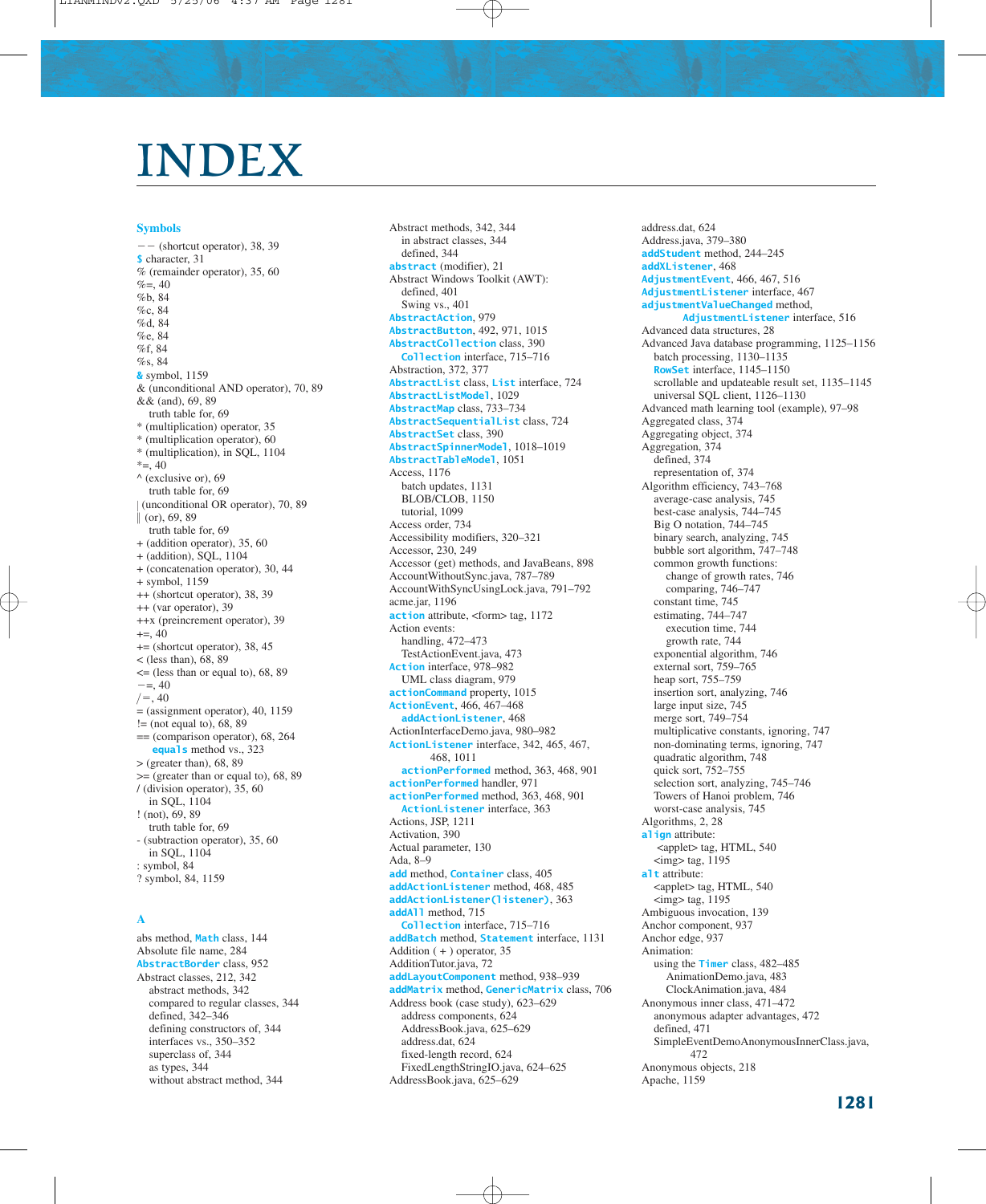# INDEX

#### **Symbols**

 $---$  (shortcut operator), 38, 39 **\$** character, 31 % (remainder operator), 35, 60  $% = 0.40$ %b, 84 %c, 84 %d, 84 %e, 84 %f, 84 %s, 84 **&** symbol, 1159 & (unconditional AND operator), 70, 89 && (and), 69, 89 truth table for, 69 \* (multiplication) operator, 35 \* (multiplication operator), 60 \* (multiplication), in SQL, 1104  $*$ =, 40  $^{\wedge}$  (exclusive or), 69 truth table for, 69 (unconditional OR operator), 70, 89  $\parallel$  (or), 69, 89 truth table for, 69 + (addition operator), 35, 60 + (addition), SQL, 1104 + (concatenation operator), 30, 44 + symbol, 1159 ++ (shortcut operator), 38, 39 ++ (var operator), 39 ++x (preincrement operator), 39  $+=, 40$ += (shortcut operator), 38, 45 < (less than), 68, 89 <= (less than or equal to), 68, 89  $=-5, 40$  $/ =, 40$  $=$  (assignment operator), 40, 1159  $!=$  (not equal to), 68, 89 == (comparison operator), 68, 264 **equals** method vs., 323  $>$  (greater than), 68, 89  $\geq$  (greater than or equal to), 68, 89 / (division operator), 35, 60 in SQL, 1104 ! (not), 69, 89 truth table for, 69 - (subtraction operator), 35, 60 in SQL, 1104 : symbol, 84 ? symbol, 84, 1159  $\parallel$ 

## **A**

abs method, **Math** class, 144 Absolute file name, 284 **AbstractBorder** class, 952 Abstract classes, 212, 342 abstract methods, 342 compared to regular classes, 344 defined, 342–346 defining constructors of, 344 interfaces vs., 350–352 superclass of, 344 as types, 344 without abstract method, 344

Abstract methods, 342, 344 in abstract classes, 344 defined, 344 **abstract** (modifier), 21 Abstract Windows Toolkit (AWT): defined, 401 Swing vs., 401 **AbstractAction**, 979 **AbstractButton**, 492, 971, 1015 **AbstractCollection** class, 390 **Collection** interface, 715–716 Abstraction, 372, 377 **AbstractList** class, **List** interface, 724 **AbstractListModel**, 1029 **AbstractMap** class, 733–734 **AbstractSequentialList** class, 724 **AbstractSet** class, 390 **AbstractSpinnerModel**, 1018–1019 **AbstractTableModel**, 1051 Access, 1176 batch updates, 1131 BLOB/CLOB, 1150 tutorial, 1099 Access order, 734 Accessibility modifiers, 320–321 Accessor, 230, 249 Accessor (get) methods, and JavaBeans, 898 AccountWithoutSync.java, 787–789 AccountWithSyncUsingLock.java, 791–792 acme.jar, 1196 **action** attribute, <form> tag, 1172 Action events: handling, 472–473 TestActionEvent.java, 473 **Action** interface, 978–982 UML class diagram, 979 **actionCommand** property, 1015 **ActionEvent**, 466, 467–468 **addActionListener**, 468 ActionInterfaceDemo.java, 980–982 **ActionListener** interface, 342, 465, 467, 468, 1011 **actionPerformed** method, 363, 468, 901 **actionPerformed** handler, 971 **actionPerformed** method, 363, 468, 901 **ActionListener** interface, 363 Actions, JSP, 1211 Activation, 390 Actual parameter, 130 Ada, 8–9 **add** method, **Container** class, 405 **addActionListener** method, 468, 485 **addActionListener(listener)**, 363 **addAll** method, 715 **Collection** interface, 715–716 **addBatch** method, **Statement** interface, 1131 Addition ( + ) operator, 35 AdditionTutor.java, 72 **addLayoutComponent** method, 938–939 **addMatrix** method, **GenericMatrix** class, 706 Address book (case study), 623–629 address components, 624 AddressBook.java, 625–629 address.dat, 624 fixed-length record, 624 FixedLengthStringIO.java, 624–625 AddressBook.java, 625–629

address.dat, 624 Address.java, 379–380 **addStudent** method, 244–245 **addXListener**, 468 **AdjustmentEvent**, 466, 467, 516 **AdjustmentListener** interface, 467 **adjustmentValueChanged** method, **AdjustmentListener** interface, 516 Advanced data structures, 28 Advanced Java database programming, 1125–1156 batch processing, 1130–1135 **RowSet** interface, 1145–1150 scrollable and updateable result set, 1135–1145 universal SQL client, 1126–1130 Advanced math learning tool (example), 97–98 Aggregated class, 374 Aggregating object, 374 Aggregation, 374 defined, 374 representation of, 374 Algorithm efficiency, 743–768 average-case analysis, 745 best-case analysis, 744–745 Big O notation, 744–745 binary search, analyzing, 745 bubble sort algorithm, 747–748 common growth functions: change of growth rates, 746 comparing, 746–747 constant time, 745 estimating, 744–747 execution time, 744 growth rate, 744 exponential algorithm, 746 external sort, 759–765 heap sort, 755–759 insertion sort, analyzing, 746 large input size, 745 merge sort, 749–754 multiplicative constants, ignoring, 747 non-dominating terms, ignoring, 747 quadratic algorithm, 748 quick sort, 752–755 selection sort, analyzing, 745–746 Towers of Hanoi problem, 746 worst-case analysis, 745 Algorithms, 2, 28 **align** attribute: <applet> tag, HTML, 540  $\langle$ img $>$  tag, 1195 **alt** attribute: <applet> tag, HTML, 540 <img> tag, 1195 Ambiguous invocation, 139 Anchor component, 937 Anchor edge, 937 Animation: using the **Timer** class, 482–485 AnimationDemo.java, 483 ClockAnimation.java, 484 Anonymous inner class, 471–472 anonymous adapter advantages, 472 defined, 471 SimpleEventDemoAnonymousInnerClass.java, 472 Anonymous objects, 218 Apache, 1159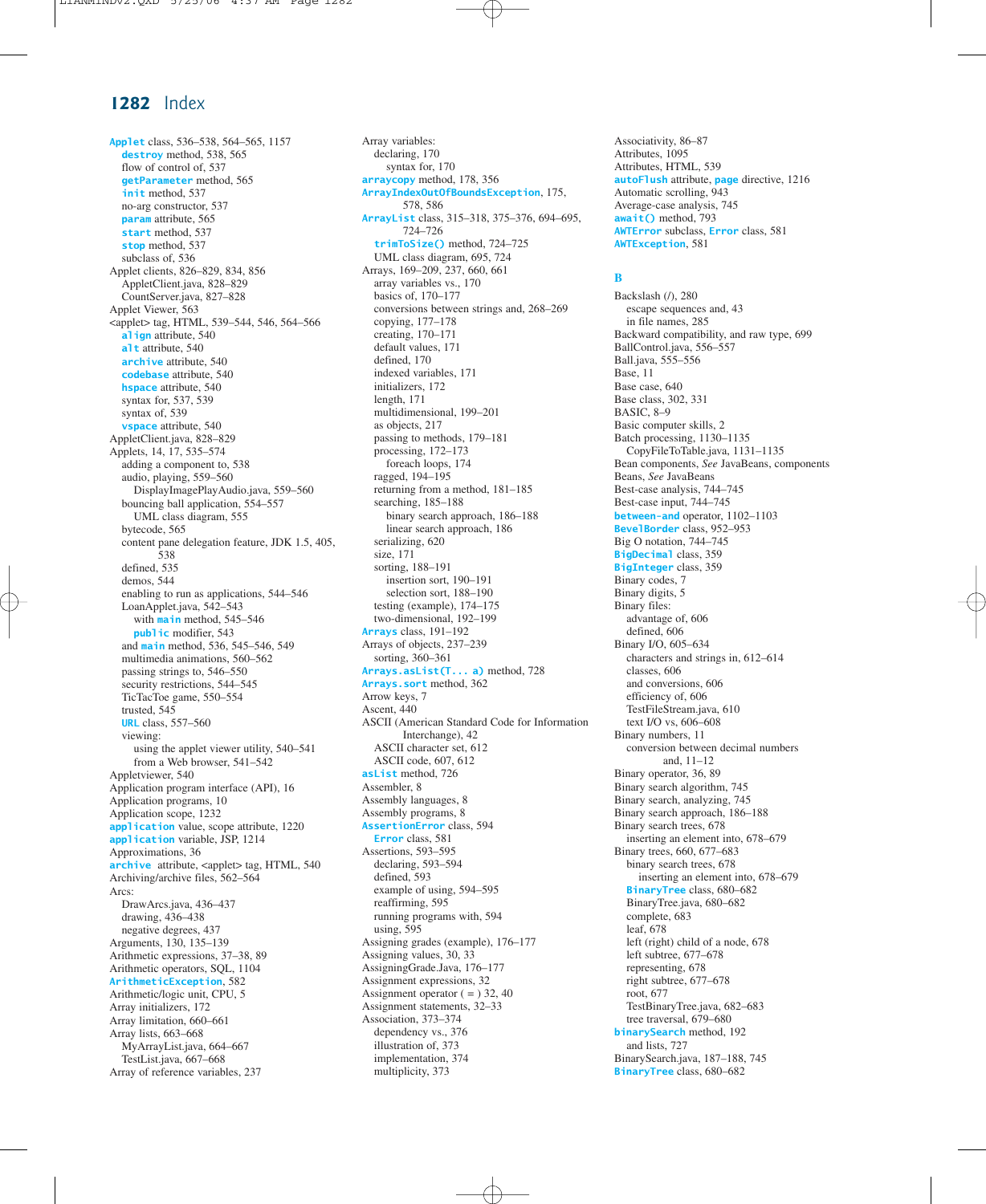**Applet** class, 536–538, 564–565, 1157 **destroy** method, 538, 565 flow of control of, 537 **getParameter** method, 565 **init** method, 537 no-arg constructor, 537 **param** attribute, 565 **start** method, 537 **stop** method, 537 subclass of, 536 Applet clients, 826–829, 834, 856 AppletClient.java, 828–829 CountServer.java, 827–828 Applet Viewer, 563 <applet> tag, HTML, 539–544, 546, 564–566 **align** attribute, 540 **alt** attribute, 540 **archive** attribute, 540 **codebase** attribute, 540 **hspace** attribute, 540 syntax for, 537, 539 syntax of, 539 **vspace** attribute, 540 AppletClient.java, 828–829 Applets, 14, 17, 535–574 adding a component to, 538 audio, playing, 559–560 DisplayImagePlayAudio.java, 559–560 bouncing ball application, 554–557 UML class diagram, 555 bytecode, 565 content pane delegation feature, JDK 1.5, 405, 538 defined, 535 demos, 544 enabling to run as applications, 544–546 LoanApplet.java, 542–543 with **main** method, 545–546 **public** modifier, 543 and **main** method, 536, 545–546, 549 multimedia animations, 560–562 passing strings to, 546–550 security restrictions, 544–545 TicTacToe game, 550–554 trusted, 545 **URL** class, 557–560 viewing: using the applet viewer utility, 540–541 from a Web browser, 541–542 Appletviewer, 540 Application program interface (API), 16 Application programs, 10 Application scope, 1232 **application** value, scope attribute, 1220 **application** variable, JSP, 1214 Approximations, 36 **archive** attribute, <applet> tag, HTML, 540 Archiving/archive files, 562–564 Arcs: DrawArcs.java, 436–437 drawing, 436–438 negative degrees, 437 Arguments, 130, 135–139 Arithmetic expressions, 37–38, 89 Arithmetic operators, SQL, 1104 **ArithmeticException**, 582 Arithmetic/logic unit, CPU, 5 Array initializers, 172 Array limitation, 660–661 Array lists, 663–668 MyArrayList.java, 664–667 TestList.java, 667–668 Array of reference variables, 237

Array variables: declaring, 170 syntax for, 170 **arraycopy** method, 178, 356 **ArrayIndexOutOfBoundsException**, 175, 578, 586 **ArrayList** class, 315–318, 375–376, 694–695, 724–726 **trimToSize()** method, 724–725 UML class diagram, 695, 724 Arrays, 169–209, 237, 660, 661 array variables vs., 170 basics of, 170–177 conversions between strings and, 268–269 copying, 177–178 creating, 170–171 default values, 171 defined, 170 indexed variables, 171 initializers, 172 length, 171 multidimensional, 199–201 as objects, 217 passing to methods, 179–181 processing, 172–173 foreach loops, 174 ragged, 194–195 returning from a method, 181–185 searching, 185–188 binary search approach, 186–188 linear search approach, 186 serializing, 620 size, 171 sorting, 188–191 insertion sort, 190–191 selection sort, 188–190 testing (example), 174–175 two-dimensional, 192–199 **Arrays** class, 191–192 Arrays of objects, 237–239 sorting, 360–361 **Arrays.asList(T... a)** method, 728 **Arrays.sort** method, 362 Arrow keys, 7 Ascent, 440 ASCII (American Standard Code for Information Interchange), 42 ASCII character set, 612 ASCII code, 607, 612 **asList** method, 726 Assembler, 8 Assembly languages, 8 Assembly programs, 8 **AssertionError** class, 594 **Error** class, 581 Assertions, 593–595 declaring, 593–594 defined, 593 example of using, 594–595 reaffirming, 595 running programs with, 594 using, 595 Assigning grades (example), 176–177 Assigning values, 30, 33 AssigningGrade.Java, 176–177 Assignment expressions, 32 Assignment operator  $( = )$  32, 40 Assignment statements, 32–33 Association, 373–374 dependency vs., 376 illustration of, 373 implementation, 374

multiplicity, 373

Associativity, 86–87 Attributes, 1095 Attributes, HTML, 539 **autoFlush** attribute, **page** directive, 1216 Automatic scrolling, 943 Average-case analysis, 745 **await()** method, 793 **AWTError** subclass, **Error** class, 581 **AWTException**, 581

#### **B**

Backslash (/), 280 escape sequences and, 43 in file names, 285 Backward compatibility, and raw type, 699 BallControl.java, 556–557 Ball.java, 555–556 Base, 11 Base case, 640 Base class, 302, 331 BASIC, 8–9 Basic computer skills, 2 Batch processing, 1130–1135 CopyFileToTable.java, 1131–1135 Bean components, *See* JavaBeans, components Beans, *See* JavaBeans Best-case analysis, 744–745 Best-case input, 744–745 **between-and** operator, 1102–1103 **BevelBorder** class, 952–953 Big O notation, 744–745 **BigDecimal** class, 359 **BigInteger** class, 359 Binary codes, 7 Binary digits, 5 Binary files: advantage of, 606 defined, 606 Binary I/O, 605–634 characters and strings in, 612–614 classes, 606 and conversions, 606 efficiency of, 606 TestFileStream.java, 610 text I/O vs, 606–608 Binary numbers, 11 conversion between decimal numbers and, 11–12 Binary operator, 36, 89 Binary search algorithm, 745 Binary search, analyzing, 745 Binary search approach, 186–188 Binary search trees, 678 inserting an element into, 678–679 Binary trees, 660, 677–683 binary search trees, 678 inserting an element into, 678–679 **BinaryTree** class, 680–682 BinaryTree.java, 680–682 complete, 683 leaf, 678 left (right) child of a node, 678 left subtree, 677–678 representing, 678 right subtree, 677–678 root, 677 TestBinaryTree.java, 682–683 tree traversal, 679–680 **binarySearch** method, 192 and lists, 727 BinarySearch.java, 187–188, 745 **BinaryTree** class, 680–682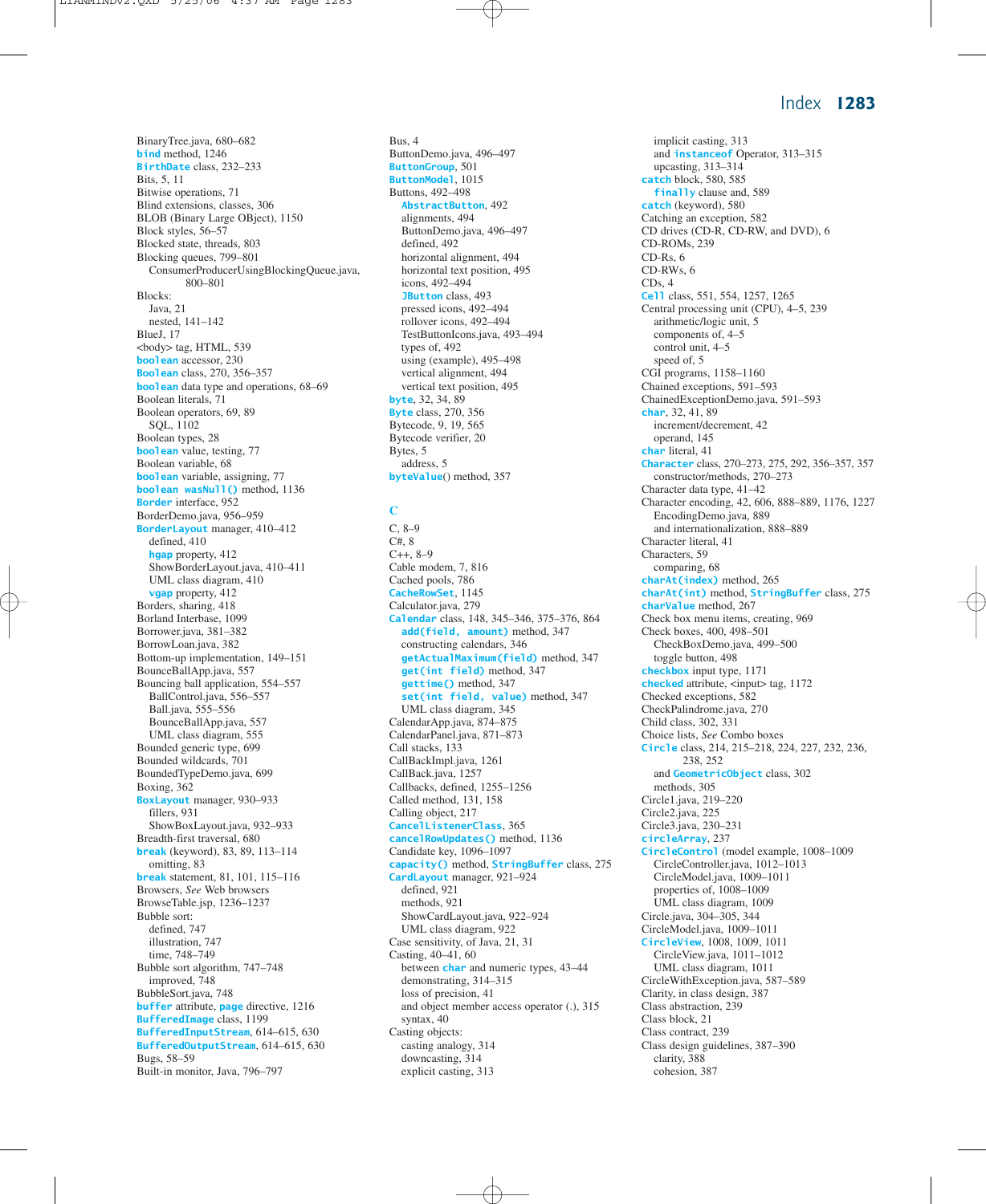BinaryTree.java, 680–682 **bind** method, 1246 **BirthDate** class, 232–233 Bits, 5, 11 Bitwise operations, 71 Blind extensions, classes, 306 BLOB (Binary Large OBject), 1150 Block styles, 56–57 Blocked state, threads, 803 Blocking queues, 799–801 ConsumerProducerUsingBlockingQueue.java, 800–801 Blocks: Java, 21 nested, 141–142 BlueJ, 17 <body> tag, HTML, 539 **boolean** accessor, 230 **Boolean** class, 270, 356–357 **boolean** data type and operations, 68–69 Boolean literals, 71 Boolean operators, 69, 89 SQL, 1102 Boolean types, 28 **boolean** value, testing, 77 Boolean variable, 68 **boolean** variable, assigning, 77 **boolean wasNull()** method, 1136 **Border** interface, 952 BorderDemo.java, 956–959 **BorderLayout** manager, 410–412 defined, 410 **hgap** property, 412 ShowBorderLayout.java, 410–411 UML class diagram, 410 **vgap** property, 412 Borders, sharing, 418 Borland Interbase, 1099 Borrower.java, 381–382 BorrowLoan.java, 382 Bottom-up implementation, 149–151 BounceBallApp.java, 557 Bouncing ball application, 554–557 BallControl.java, 556–557 Ball.java, 555–556 BounceBallApp.java, 557 UML class diagram, 555 Bounded generic type, 699 Bounded wildcards, 701 BoundedTypeDemo.java, 699 Boxing, 362 **BoxLayout** manager, 930–933 fillers, 931 ShowBoxLayout.java, 932–933 Breadth-first traversal, 680 **break** (keyword), 83, 89, 113–114 omitting, 83 **break** statement, 81, 101, 115–116 Browsers, *See* Web browsers BrowseTable.jsp, 1236–1237 Bubble sort: defined, 747 illustration, 747 time, 748–749 Bubble sort algorithm, 747–748 improved, 748 BubbleSort.java, 748 **buffer** attribute, **page** directive, 1216 **BufferedImage** class, 1199 **BufferedInputStream**, 614–615, 630 **BufferedOutputStream**, 614–615, 630 Bugs, 58–59 Built-in monitor, Java, 796–797

Bus, 4 ButtonDemo.java, 496–497 **ButtonGroup**, 501 **ButtonModel**, 1015 Buttons, 492–498 **AbstractButton**, 492 alignments, 494 ButtonDemo.java, 496–497 defined, 492 horizontal alignment, 494 horizontal text position, 495 icons, 492–494 **JButton** class, 493 pressed icons, 492–494 rollover icons, 492–494 TestButtonIcons.java, 493–494 types of, 492 using (example), 495–498 vertical alignment, 494 vertical text position, 495 **byte**, 32, 34, 89 **Byte** class, 270, 356 Bytecode, 9, 19, 565 Bytecode verifier, 20 Bytes, 5 address, 5 **byteValue**() method, 357

**C**

C, 8–9 C#, 8  $C++, 8-9$ Cable modem, 7, 816 Cached pools, 786 **CacheRowSet**, 1145 Calculator.java, 279 **Calendar** class, 148, 345–346, 375–376, 864 **add(field, amount)** method, 347 constructing calendars, 346 **getActualMaximum(field)** method, 347 **get(int field)** method, 347 **gettime()** method, 347 **set(int field, value)** method, 347 UML class diagram, 345 CalendarApp.java, 874–875 CalendarPanel.java, 871–873 Call stacks, 133 CallBackImpl.java, 1261 CallBack.java, 1257 Callbacks, defined, 1255–1256 Called method, 131, 158 Calling object, 217 **CancelListenerClass**, 365 **cancelRowUpdates()** method, 1136 Candidate key, 1096–1097 **capacity()** method, **StringBuffer** class, 275 **CardLayout** manager, 921–924 defined, 921 methods, 921 ShowCardLayout.java, 922–924 UML class diagram, 922 Case sensitivity, of Java, 21, 31 Casting, 40–41, 60 between **char** and numeric types, 43–44 demonstrating, 314–315 loss of precision, 41 and object member access operator (.), 315 syntax, 40 Casting objects: casting analogy, 314 downcasting, 314 explicit casting, 313

implicit casting, 313 and **instanceof** Operator, 313–315 upcasting, 313–314 **catch** block, 580, 585 **finally** clause and, 589 **catch** (keyword), 580 Catching an exception, 582 CD drives (CD-R, CD-RW, and DVD), 6 CD-ROMs, 239 CD-Rs, 6 CD-RWs, 6 CDs, 4 **Cell** class, 551, 554, 1257, 1265 Central processing unit (CPU), 4–5, 239 arithmetic/logic unit, 5 components of, 4–5 control unit, 4–5 speed of, 5 CGI programs, 1158–1160 Chained exceptions, 591–593 ChainedExceptionDemo.java, 591–593 **char**, 32, 41, 89 increment/decrement, 42 operand, 145 **char** literal, 41 **Character** class, 270–273, 275, 292, 356–357, 357 constructor/methods, 270–273 Character data type, 41–42 Character encoding, 42, 606, 888–889, 1176, 1227 EncodingDemo.java, 889 and internationalization, 888–889 Character literal, 41 Characters, 59 comparing, 68 **charAt(index)** method, 265 **charAt(int)** method, **StringBuffer** class, 275 **charValue** method, 267 Check box menu items, creating, 969 Check boxes, 400, 498–501 CheckBoxDemo.java, 499–500 toggle button, 498 **checkbox** input type, 1171 **checked** attribute, <input> tag, 1172 Checked exceptions, 582 CheckPalindrome.java, 270 Child class, 302, 331 Choice lists, *See* Combo boxes **Circle** class, 214, 215–218, 224, 227, 232, 236, 238, 252 and **GeometricObject** class, 302 methods, 305 Circle1.java, 219–220 Circle2.java, 225 Circle3.java, 230–231 **circleArray**, 237 **CircleControl** (model example, 1008–1009 CircleController.java, 1012–1013 CircleModel.java, 1009–1011 properties of, 1008–1009 UML class diagram, 1009 Circle.java, 304–305, 344 CircleModel.java, 1009–1011 **CircleView**, 1008, 1009, 1011 CircleView.java, 1011–1012 UML class diagram, 1011 CircleWithException.java, 587–589 Clarity, in class design, 387 Class abstraction, 239 Class block, 21 Class contract, 239 Class design guidelines, 387–390 clarity, 388 cohesion, 387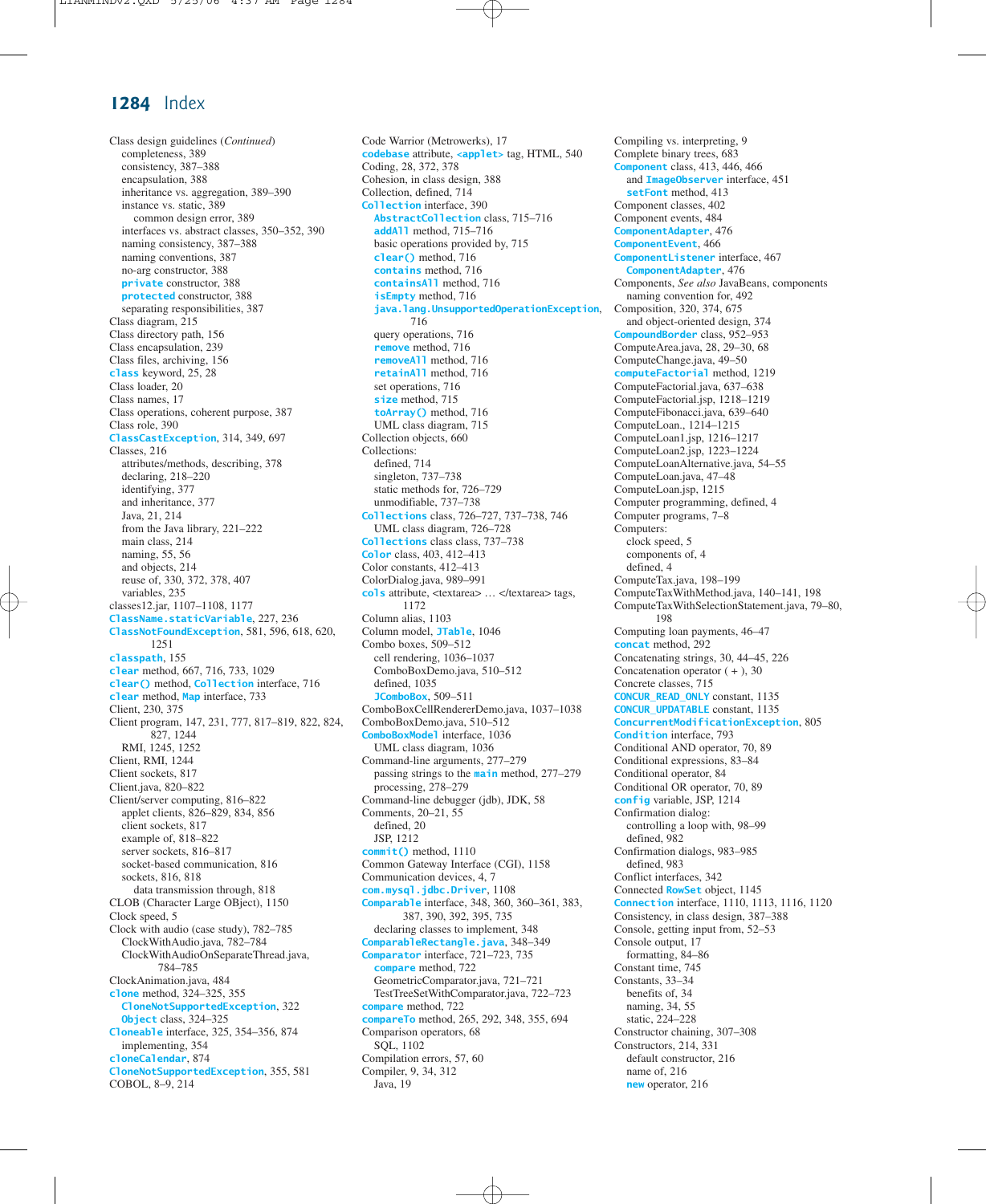Class design guidelines (*Continued*) completeness, 389 consistency, 387–388 encapsulation, 388 inheritance vs. aggregation, 389–390 instance vs. static, 389 common design error, 389 interfaces vs. abstract classes, 350–352, 390 naming consistency, 387–388 naming conventions, 387 no-arg constructor, 388 **private** constructor, 388 **protected** constructor, 388 separating responsibilities, 387 Class diagram, 215 Class directory path, 156 Class encapsulation, 239 Class files, archiving, 156 **class** keyword, 25, 28 Class loader, 20 Class names, 17 Class operations, coherent purpose, 387 Class role, 390 **ClassCastException**, 314, 349, 697 Classes, 216 attributes/methods, describing, 378 declaring, 218–220 identifying, 377 and inheritance, 377 Java, 21, 214 from the Java library, 221–222 main class, 214 naming, 55, 56 and objects, 214 reuse of, 330, 372, 378, 407 variables, 235 classes12.jar, 1107–1108, 1177 **ClassName.staticVariable**, 227, 236 **ClassNotFoundException**, 581, 596, 618, 620, 1251 **classpath**, 155 **clear** method, 667, 716, 733, 1029 **clear()** method, **Collection** interface, 716 **clear** method, **Map** interface, 733 Client, 230, 375 Client program, 147, 231, 777, 817–819, 822, 824, 827, 1244 RMI, 1245, 1252 Client, RMI, 1244 Client sockets, 817 Client.java, 820–822 Client/server computing, 816–822 applet clients, 826–829, 834, 856 client sockets, 817 example of, 818–822 server sockets, 816–817 socket-based communication, 816 sockets, 816, 818 data transmission through, 818 CLOB (Character Large OBject), 1150 Clock speed, 5 Clock with audio (case study), 782–785 ClockWithAudio.java, 782–784 ClockWithAudioOnSeparateThread.java, 784–785 ClockAnimation.java, 484 **clone** method, 324–325, 355 **CloneNotSupportedException**, 322 **Object** class, 324–325 **Cloneable** interface, 325, 354–356, 874 implementing, 354 **cloneCalendar**, 874 **CloneNotSupportedException**, 355, 581 COBOL, 8–9, 214

Code Warrior (Metrowerks), 17 **codebase** attribute, **<applet>** tag, HTML, 540 Coding, 28, 372, 378 Cohesion, in class design, 388 Collection, defined, 714 **Collection** interface, 390 **AbstractCollection** class, 715–716 **addAll** method, 715–716 basic operations provided by, 715 **clear()** method, 716 **contains** method, 716 **containsAll** method, 716 **isEmpty** method, 716 **java.lang.UnsupportedOperationException**, 716 query operations, 716 **remove** method, 716 **removeAll** method, 716 **retainAll** method, 716 set operations, 716 **size** method, 715 **toArray()** method, 716 UML class diagram, 715 Collection objects, 660 Collections: defined, 714 singleton, 737–738 static methods for, 726–729 unmodifiable, 737–738 **Collections** class, 726–727, 737–738, 746 UML class diagram, 726–728 **Collections** class class, 737–738 **Color** class, 403, 412–413 Color constants, 412–413 ColorDialog.java, 989–991 cols attribute, <textarea> ... </textarea> tags, 1172 Column alias, 1103 Column model, **JTable**, 1046 Combo boxes, 509–512 cell rendering, 1036–1037 ComboBoxDemo.java, 510–512 defined, 1035 **JComboBox**, 509–511 ComboBoxCellRendererDemo.java, 1037–1038 ComboBoxDemo.java, 510–512 **ComboBoxModel** interface, 1036 UML class diagram, 1036 Command-line arguments, 277–279 passing strings to the **main** method, 277–279 processing, 278–279 Command-line debugger (jdb), JDK, 58 Comments, 20–21, 55 defined, 20 JSP, 1212 **commit()** method, 1110 Common Gateway Interface (CGI), 1158 Communication devices, 4, 7 **com.mysql.jdbc.Driver**, 1108 **Comparable** interface, 348, 360, 360–361, 383, 387, 390, 392, 395, 735 declaring classes to implement, 348 **ComparableRectangle.java**, 348–349 **Comparator** interface, 721–723, 735 **compare** method, 722 GeometricComparator.java, 721–721 TestTreeSetWithComparator.java, 722–723 **compare** method, 722 **compareTo** method, 265, 292, 348, 355, 694 Comparison operators, 68 SQL, 1102 Compilation errors, 57, 60 Compiler, 9, 34, 312 Java, 19

Compiling vs. interpreting, 9 Complete binary trees, 683 **Component** class, 413, 446, 466 and **ImageObserver** interface, 451 **setFont** method, 413 Component classes, 402 Component events, 484 **ComponentAdapter**, 476 **ComponentEvent**, 466 **ComponentListener** interface, 467 **ComponentAdapter**, 476 Components, *See also* JavaBeans, components naming convention for, 492 Composition, 320, 374, 675 and object-oriented design, 374 **CompoundBorder** class, 952–953 ComputeArea.java, 28, 29–30, 68 ComputeChange.java, 49–50 **computeFactorial** method, 1219 ComputeFactorial.java, 637–638 ComputeFactorial.jsp, 1218–1219 ComputeFibonacci.java, 639–640 ComputeLoan., 1214–1215 ComputeLoan1.jsp, 1216–1217 ComputeLoan2.jsp, 1223–1224 ComputeLoanAlternative.java, 54–55 ComputeLoan.java, 47–48 ComputeLoan.jsp, 1215 Computer programming, defined, 4 Computer programs, 7–8 Computers: clock speed, 5 components of, 4 defined, 4 ComputeTax.java, 198–199 ComputeTaxWithMethod.java, 140–141, 198 ComputeTaxWithSelectionStatement.java, 79–80, 198 Computing loan payments, 46–47 **concat** method, 292 Concatenating strings, 30, 44–45, 226 Concatenation operator  $( + )$ , 30 Concrete classes, 715 **CONCUR\_READ\_ONLY** constant, 1135 **CONCUR\_UPDATABLE** constant, 1135 **ConcurrentModificationException**, 805 **Condition** interface, 793 Conditional AND operator, 70, 89 Conditional expressions, 83–84 Conditional operator, 84 Conditional OR operator, 70, 89 **config** variable, JSP, 1214 Confirmation dialog: controlling a loop with, 98–99 defined, 982 Confirmation dialogs, 983–985 defined, 983 Conflict interfaces, 342 Connected **RowSet** object, 1145 **Connection** interface, 1110, 1113, 1116, 1120 Consistency, in class design, 387–388 Console, getting input from, 52–53 Console output, 17 formatting, 84–86 Constant time, 745 Constants, 33–34 benefits of, 34 naming, 34, 55 static, 224–228 Constructor chaining, 307–308 Constructors, 214, 331 default constructor, 216 name of, 216 **new** operator, 216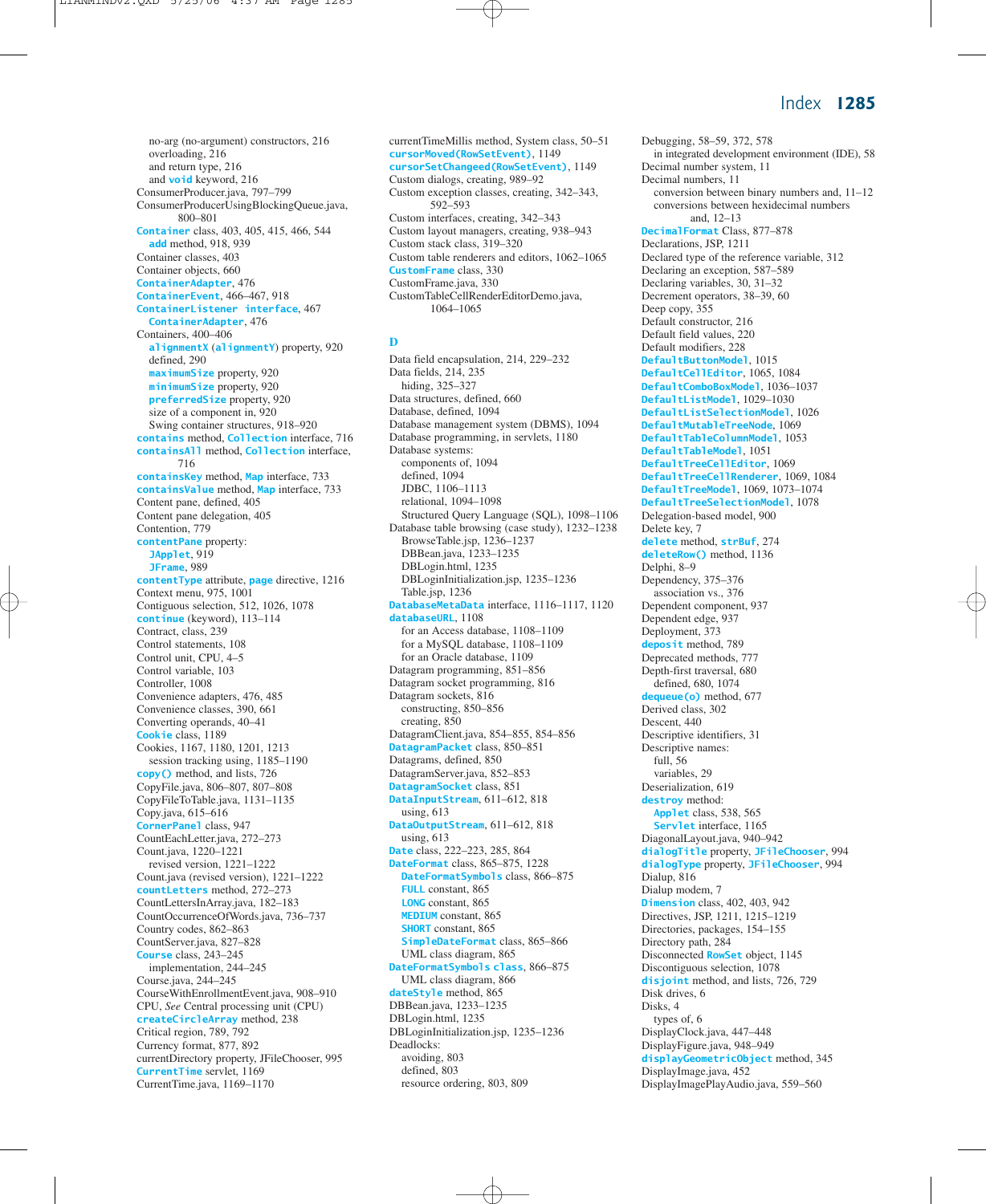no-arg (no-argument) constructors, 216 overloading, 216 and return type, 216 and **void** keyword, 216 ConsumerProducer.java, 797–799 ConsumerProducerUsingBlockingQueue.java, 800–801 **Container** class, 403, 405, 415, 466, 544 **add** method, 918, 939 Container classes, 403 Container objects, 660 **ContainerAdapter**, 476 **ContainerEvent**, 466–467, 918 **ContainerListener interface**, 467 **ContainerAdapter**, 476 Containers, 400–406 **alignmentX** (**alignmentY**) property, 920 defined, 290 **maximumSize** property, 920 **minimumSize** property, 920 **preferredSize** property, 920 size of a component in, 920 Swing container structures, 918–920 **contains** method, **Collection** interface, 716 **containsAll** method, **Collection** interface, 716 **containsKey** method, **Map** interface, 733 **containsValue** method, **Map** interface, 733 Content pane, defined, 405 Content pane delegation, 405 Contention, 779 **contentPane** property: **JApplet**, 919 **JFrame**, 989 **contentType** attribute, **page** directive, 1216 Context menu, 975, 1001 Contiguous selection, 512, 1026, 1078 **continue** (keyword), 113–114 Contract, class, 239 Control statements, 108 Control unit, CPU, 4–5 Control variable, 103 Controller, 1008 Convenience adapters, 476, 485 Convenience classes, 390, 661 Converting operands, 40–41 **Cookie** class, 1189 Cookies, 1167, 1180, 1201, 1213 session tracking using, 1185–1190 **copy()** method, and lists, 726 CopyFile.java, 806–807, 807–808 CopyFileToTable.java, 1131–1135 Copy.java, 615–616 **CornerPanel** class, 947 CountEachLetter.java, 272–273 Count.java, 1220–1221 revised version, 1221–1222 Count.java (revised version), 1221–1222 **countLetters** method, 272–273 CountLettersInArray.java, 182–183 CountOccurrenceOfWords.java, 736–737 Country codes, 862–863 CountServer.java, 827–828 **Course** class, 243–245 implementation, 244–245 Course.java, 244–245 CourseWithEnrollmentEvent.java, 908–910 CPU, *See* Central processing unit (CPU) **createCircleArray** method, 238 Critical region, 789, 792 Currency format, 877, 892 currentDirectory property, JFileChooser, 995 **CurrentTime** servlet, 1169 CurrentTime.java, 1169–1170

currentTimeMillis method, System class, 50–51 **cursorMoved(RowSetEvent)**, 1149 **cursorSetChangeed(RowSetEvent)**, 1149 Custom dialogs, creating, 989–92 Custom exception classes, creating, 342–343, 592–593 Custom interfaces, creating, 342–343 Custom layout managers, creating, 938–943 Custom stack class, 319–320 Custom table renderers and editors, 1062–1065 **CustomFrame** class, 330 CustomFrame.java, 330 CustomTableCellRenderEditorDemo.java, 1064–1065

#### **D**

Data field encapsulation, 214, 229–232 Data fields, 214, 235 hiding, 325–327 Data structures, defined, 660 Database, defined, 1094 Database management system (DBMS), 1094 Database programming, in servlets, 1180 Database systems: components of, 1094 defined, 1094 JDBC, 1106–1113 relational, 1094–1098 Structured Query Language (SQL), 1098–1106 Database table browsing (case study), 1232–1238 BrowseTable.jsp, 1236–1237 DBBean.java, 1233–1235 DBLogin.html, 1235 DBLoginInitialization.jsp, 1235–1236 Table.jsp, 1236 **DatabaseMetaData** interface, 1116–1117, 1120 **databaseURL**, 1108 for an Access database, 1108–1109 for a MySQL database, 1108–1109 for an Oracle database, 1109 Datagram programming, 851–856 Datagram socket programming, 816 Datagram sockets, 816 constructing, 850–856 creating, 850 DatagramClient.java, 854–855, 854–856 **DatagramPacket** class, 850–851 Datagrams, defined, 850 DatagramServer.java, 852–853 **DatagramSocket** class, 851 **DataInputStream**, 611–612, 818 using, 613 **DataOutputStream**, 611–612, 818 using, 613 **Date** class, 222–223, 285, 864 **DateFormat** class, 865–875, 1228 **DateFormatSymbols** class, 866–875 **FULL** constant, 865 **LONG** constant, 865 **MEDIUM** constant, 865 **SHORT** constant, 865 **SimpleDateFormat** class, 865–866 UML class diagram, 865 **DateFormatSymbols class**, 866–875 UML class diagram, 866 **dateStyle** method, 865 DBBean.java, 1233–1235 DBLogin.html, 1235 DBLoginInitialization.jsp, 1235–1236 Deadlocks: avoiding, 803 defined, 803 resource ordering, 803, 809

Debugging, 58–59, 372, 578 in integrated development environment (IDE), 58 Decimal number system, 11 Decimal numbers, 11 conversion between binary numbers and, 11–12 conversions between hexidecimal numbers and, 12–13 **DecimalFormat** Class, 877–878 Declarations, JSP, 1211 Declared type of the reference variable, 312 Declaring an exception, 587–589 Declaring variables, 30, 31–32 Decrement operators, 38–39, 60 Deep copy, 355 Default constructor, 216 Default field values, 220 Default modifiers, 228 **DefaultButtonModel**, 1015 **DefaultCellEditor**, 1065, 1084 **DefaultComboBoxModel**, 1036–1037 **DefaultListModel**, 1029–1030 **DefaultListSelectionModel**, 1026 **DefaultMutableTreeNode**, 1069 **DefaultTableColumnModel**, 1053 **DefaultTableModel**, 1051 **DefaultTreeCellEditor**, 1069 **DefaultTreeCellRenderer**, 1069, 1084 **DefaultTreeModel**, 1069, 1073–1074 **DefaultTreeSelectionModel**, 1078 Delegation-based model, 900 Delete key, 7 **delete** method, **strBuf**, 274 **deleteRow()** method, 1136 Delphi, 8–9 Dependency, 375–376 association vs., 376 Dependent component, 937 Dependent edge, 937 Deployment, 373 **deposit** method, 789 Deprecated methods, 777 Depth-first traversal, 680 defined, 680, 1074 **dequeue(o)** method, 677 Derived class, 302 Descent, 440 Descriptive identifiers, 31 Descriptive names: full, 56 variables, 29 Deserialization, 619 **destroy** method: **Applet** class, 538, 565 **Servlet** interface, 1165 DiagonalLayout.java, 940–942 **dialogTitle** property, **JFileChooser**, 994 **dialogType** property, **JFileChooser**, 994 Dialup, 816 Dialup modem, 7 **Dimension** class, 402, 403, 942 Directives, JSP, 1211, 1215–1219 Directories, packages, 154–155 Directory path, 284 Disconnected **RowSet** object, 1145 Discontiguous selection, 1078 **disjoint** method, and lists, 726, 729 Disk drives, 6 Disks, 4 types of, 6 DisplayClock.java, 447–448 DisplayFigure.java, 948–949 **displayGeometricObject** method, 345 DisplayImage.java, 452 DisplayImagePlayAudio.java, 559–560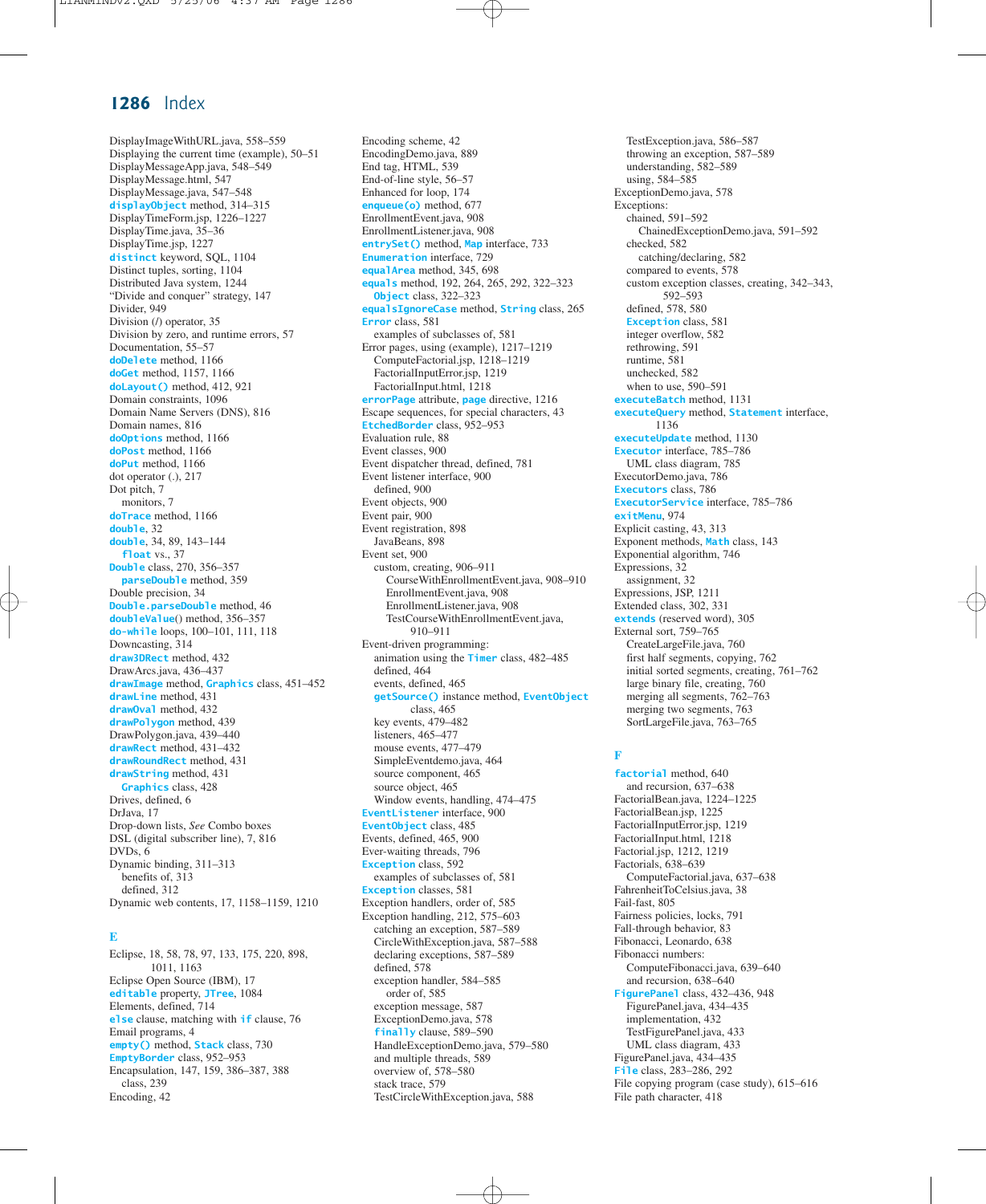DisplayImageWithURL.java, 558–559 Displaying the current time (example), 50–51 DisplayMessageApp.java, 548–549 DisplayMessage.html, 547 DisplayMessage.java, 547–548 **displayObject** method, 314–315 DisplayTimeForm.jsp, 1226–1227 DisplayTime.java, 35–36 DisplayTime.jsp, 1227 **distinct** keyword, SQL, 1104 Distinct tuples, sorting, 1104 Distributed Java system, 1244 "Divide and conquer" strategy, 147 Divider, 949 Division (/) operator, 35 Division by zero, and runtime errors, 57 Documentation, 55–57 **doDelete** method, 1166 **doGet** method, 1157, 1166 **doLayout()** method, 412, 921 Domain constraints, 1096 Domain Name Servers (DNS), 816 Domain names, 816 **doOptions** method, 1166 **doPost** method, 1166 **doPut** method, 1166 dot operator (.), 217 Dot pitch, 7 monitors, 7 **doTrace** method, 1166 **double**, 32 **double**, 34, 89, 143–144 **float** vs., 37 **Double** class, 270, 356–357 **parseDouble** method, 359 Double precision, 34 **Double.parseDouble** method, 46 **doubleValue**() method, 356–357 **do-while** loops, 100–101, 111, 118 Downcasting, 314 **draw3DRect** method, 432 DrawArcs.java, 436–437 **drawImage** method, **Graphics** class, 451–452 **drawLine** method, 431 **drawOval** method, 432 **drawPolygon** method, 439 DrawPolygon.java, 439–440 **drawRect** method, 431–432 **drawRoundRect** method, 431 **drawString** method, 431 **Graphics** class, 428 Drives, defined, 6 DrJava, 17 Drop-down lists, *See* Combo boxes DSL (digital subscriber line), 7, 816 DVDs, 6 Dynamic binding, 311–313 benefits of, 313 defined, 312 Dynamic web contents, 17, 1158–1159, 1210

#### **E**

Eclipse, 18, 58, 78, 97, 133, 175, 220, 898, 1011, 1163 Eclipse Open Source (IBM), 17 **editable** property, **JTree**, 1084 Elements, defined, 714 **else** clause, matching with **if** clause, 76 Email programs, 4 **empty()** method, **Stack** class, 730 **EmptyBorder** class, 952–953 Encapsulation, 147, 159, 386–387, 388 class, 239 Encoding, 42

Encoding scheme, 42 EncodingDemo.java, 889 End tag, HTML, 539 End-of-line style, 56–57 Enhanced for loop, 174 **enqueue(o)** method, 677 EnrollmentEvent.java, 908 EnrollmentListener.java, 908 **entrySet()** method, **Map** interface, 733 **Enumeration** interface, 729 **equalArea** method, 345, 698 **equals** method, 192, 264, 265, 292, 322–323 **Object** class, 322–323 **equalsIgnoreCase** method, **String** class, 265 **Error** class, 581 examples of subclasses of, 581 Error pages, using (example), 1217–1219 ComputeFactorial.jsp, 1218–1219 FactorialInputError.jsp, 1219 FactorialInput.html, 1218 **errorPage** attribute, **page** directive, 1216 Escape sequences, for special characters, 43 **EtchedBorder** class, 952–953 Evaluation rule, 88 Event classes, 900 Event dispatcher thread, defined, 781 Event listener interface, 900 defined, 900 Event objects, 900 Event pair, 900 Event registration, 898 JavaBeans, 898 Event set, 900 custom, creating, 906–911 CourseWithEnrollmentEvent.java, 908–910 EnrollmentEvent.java, 908 EnrollmentListener.java, 908 TestCourseWithEnrollmentEvent.java, 910–911 Event-driven programming: animation using the **Timer** class, 482–485 defined, 464 events, defined, 465 **getSource()** instance method, **EventObject** class, 465 key events, 479–482 listeners, 465–477 mouse events, 477–479 SimpleEventdemo.java, 464 source component, 465 source object, 465 Window events, handling, 474–475 **EventListener** interface, 900 **EventObject** class, 485 Events, defined, 465, 900 Ever-waiting threads, 796 **Exception** class, 592 examples of subclasses of, 581 **Exception** classes, 581 Exception handlers, order of, 585 Exception handling, 212, 575–603 catching an exception, 587–589 CircleWithException.java, 587–588 declaring exceptions, 587–589 defined, 578 exception handler, 584–585 order of, 585 exception message, 587 ExceptionDemo.java, 578 **finally** clause, 589–590 HandleExceptionDemo.java, 579–580 and multiple threads, 589 overview of, 578–580 stack trace, 579

TestCircleWithException.java, 588

TestException.java, 586–587 throwing an exception, 587–589 understanding, 582–589 using, 584–585 ExceptionDemo.java, 578 Exceptions: chained, 591–592 ChainedExceptionDemo.java, 591–592 checked, 582 catching/declaring, 582 compared to events, 578 custom exception classes, creating, 342–343, 592–593 defined, 578, 580 **Exception** class, 581 integer overflow, 582 rethrowing, 591 runtime, 581 unchecked, 582 when to use, 590–591 **executeBatch** method, 1131 **executeQuery** method, **Statement** interface, 1136 **executeUpdate** method, 1130 **Executor** interface, 785–786 UML class diagram, 785 ExecutorDemo.java, 786 **Executors** class, 786 **ExecutorService** interface, 785–786 **exitMenu**, 974 Explicit casting, 43, 313 Exponent methods, **Math** class, 143 Exponential algorithm, 746 Expressions, 32 assignment, 32 Expressions, JSP, 1211 Extended class, 302, 331 **extends** (reserved word), 305 External sort, 759–765 CreateLargeFile.java, 760 first half segments, copying, 762 initial sorted segments, creating, 761–762 large binary file, creating, 760 merging all segments, 762–763 merging two segments, 763 SortLargeFile.java, 763–765

#### **F**

**factorial** method, 640 and recursion, 637–638 FactorialBean.java, 1224–1225 FactorialBean.jsp, 1225 FactorialInputError.jsp, 1219 FactorialInput.html, 1218 Factorial.jsp, 1212, 1219 Factorials, 638–639 ComputeFactorial.java, 637–638 FahrenheitToCelsius.java, 38 Fail-fast, 805 Fairness policies, locks, 791 Fall-through behavior, 83 Fibonacci, Leonardo, 638 Fibonacci numbers: ComputeFibonacci.java, 639–640 and recursion, 638–640 **FigurePanel** class, 432–436, 948 FigurePanel.java, 434–435 implementation, 432 TestFigurePanel.java, 433 UML class diagram, 433 FigurePanel.java, 434–435 **File** class, 283–286, 292 File copying program (case study), 615–616 File path character, 418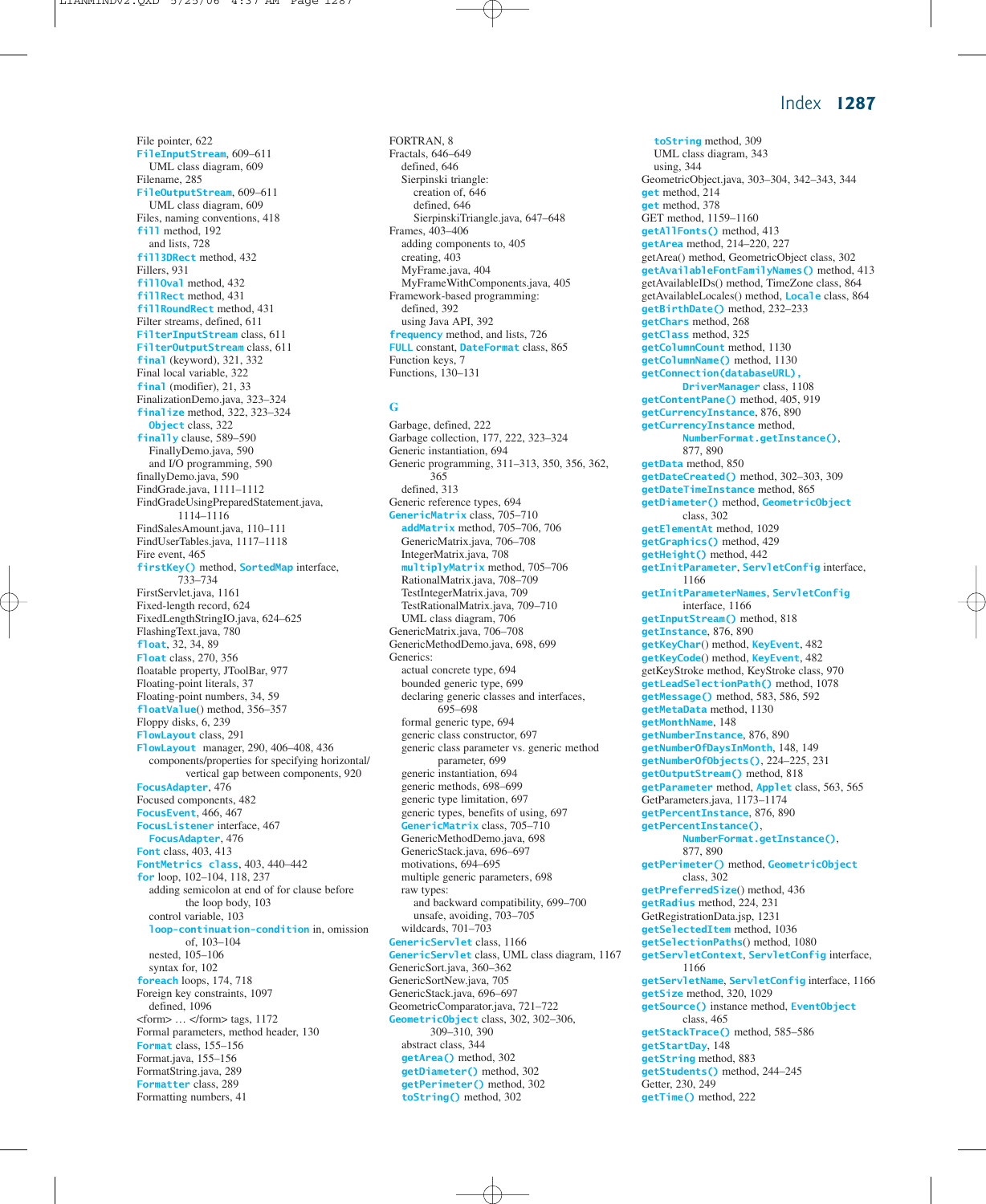File pointer, 622 **FileInputStream**, 609–611 UML class diagram, 609 Filename, 285 **FileOutputStream**, 609–611 UML class diagram, 609 Files, naming conventions, 418 **fill** method, 192 and lists, 728 **fill3DRect** method, 432 Fillers, 931 **fillOval** method, 432 **fillRect** method, 431 **fillRoundRect** method, 431 Filter streams, defined, 611 **FilterInputStream** class, 611 **FilterOutputStream** class, 611 **final** (keyword), 321, 332 Final local variable, 322 **final** (modifier), 21, 33 FinalizationDemo.java, 323–324 **finalize** method, 322, 323–324 **Object** class, 322 **finally** clause, 589–590 FinallyDemo.java, 590 and I/O programming, 590 finallyDemo.java, 590 FindGrade.java, 1111–1112 FindGradeUsingPreparedStatement.java, 1114–1116 FindSalesAmount.java, 110–111 FindUserTables.java, 1117–1118 Fire event, 465 **firstKey()** method, **SortedMap** interface, 733–734 FirstServlet.java, 1161 Fixed-length record, 624 FixedLengthStringIO.java, 624–625 FlashingText.java, 780 **float**, 32, 34, 89 **Float** class, 270, 356 floatable property, JToolBar, 977 Floating-point literals, 37 Floating-point numbers, 34, 59 **floatValue**() method, 356–357 Floppy disks, 6, 239 **FlowLayout** class, 291 **FlowLayout** manager, 290, 406–408, 436 components/properties for specifying horizontal/ vertical gap between components, 920 **FocusAdapter**, 476 Focused components, 482 **FocusEvent**, 466, 467 **FocusListener** interface, 467 **FocusAdapter**, 476 **Font** class, 403, 413 **FontMetrics class**, 403, 440–442 **for** loop, 102–104, 118, 237 adding semicolon at end of for clause before the loop body, 103 control variable, 103 **loop-continuation-condition** in, omission of, 103–104 nested, 105–106 syntax for, 102 **foreach** loops, 174, 718 Foreign key constraints, 1097 defined, 1096  $<$ form $>$  ...  $<$  /form $>$  tags, 1172 Formal parameters, method header, 130 **Format** class, 155–156 Format.java, 155–156 FormatString.java, 289 **Formatter** class, 289 Formatting numbers, 41

FORTRAN, 8 Fractals, 646–649 defined, 646 Sierpinski triangle: creation of, 646 defined, 646 SierpinskiTriangle.java, 647–648 Frames, 403–406 adding components to, 405 creating, 403 MyFrame.java, 404 MyFrameWithComponents.java, 405 Framework-based programming: defined, 392 using Java API, 392 **frequency** method, and lists, 726 **FULL** constant, **DateFormat** class, 865 Function keys, 7 Functions, 130–131

#### **G**

Garbage, defined, 222 Garbage collection, 177, 222, 323–324 Generic instantiation, 694 Generic programming, 311–313, 350, 356, 362, 365 defined, 313 Generic reference types, 694 **GenericMatrix** class, 705–710 **addMatrix** method, 705–706, 706 GenericMatrix.java, 706–708 IntegerMatrix.java, 708 **multiplyMatrix** method, 705–706 RationalMatrix.java, 708–709 TestIntegerMatrix.java, 709 TestRationalMatrix.java, 709–710 UML class diagram, 706 GenericMatrix.java, 706–708 GenericMethodDemo.java, 698, 699 Generics: actual concrete type, 694 bounded generic type, 699 declaring generic classes and interfaces, 695–698 formal generic type, 694 generic class constructor, 697 generic class parameter vs. generic method parameter, 699 generic instantiation, 694 generic methods, 698–699 generic type limitation, 697 generic types, benefits of using, 697 **GenericMatrix** class, 705–710 GenericMethodDemo.java, 698 GenericStack.java, 696–697 motivations, 694–695 multiple generic parameters, 698 raw types: and backward compatibility, 699–700 unsafe, avoiding, 703–705 wildcards, 701–703 **GenericServlet** class, 1166 **GenericServlet** class, UML class diagram, 1167 GenericSort.java, 360–362 GenericSortNew.java, 705 GenericStack.java, 696–697 GeometricComparator.java, 721–722 **GeometricObject** class, 302, 302–306, 309–310, 390 abstract class, 344 **getArea()** method, 302 **getDiameter()** method, 302 **getPerimeter()** method, 302 **toString()** method, 302

**toString** method, 309 UML class diagram, 343 using, 344 GeometricObject.java, 303–304, 342–343, 344 **get** method, 214 **get** method, 378 GET method, 1159–1160 **getAllFonts()** method, 413 **getArea** method, 214–220, 227 getArea() method, GeometricObject class, 302 **getAvailableFontFamilyNames()** method, 413 getAvailableIDs() method, TimeZone class, 864 getAvailableLocales() method, **Locale** class, 864 **getBirthDate()** method, 232–233 **getChars** method, 268 **getClass** method, 325 **getColumnCount** method, 1130 **getColumnName()** method, 1130 **getConnection(databaseURL), DriverManager** class, 1108 **getContentPane()** method, 405, 919 **getCurrencyInstance**, 876, 890 **getCurrencyInstance** method, **NumberFormat.getInstance()**, 877, 890 **getData** method, 850 **getDateCreated()** method, 302–303, 309 **getDateTimeInstance** method, 865 **getDiameter()** method, **GeometricObject** class, 302 **getElementAt** method, 1029 **getGraphics()** method, 429 **getHeight()** method, 442 **getInitParameter**, **ServletConfig** interface, 1166 **getInitParameterNames**, **ServletConfig** interface, 1166 **getInputStream()** method, 818 **getInstance**, 876, 890 **getKeyChar**() method, **KeyEvent**, 482 **getKeyCode**() method, **KeyEvent**, 482 getKeyStroke method, KeyStroke class, 970 **getLeadSelectionPath()** method, 1078 **getMessage()** method, 583, 586, 592 **getMetaData** method, 1130 **getMonthName**, 148 **getNumberInstance**, 876, 890 **getNumberOfDaysInMonth**, 148, 149 **getNumberOfObjects()**, 224–225, 231 **getOutputStream()** method, 818 **getParameter** method, **Applet** class, 563, 565 GetParameters.java, 1173–1174 **getPercentInstance**, 876, 890 **getPercentInstance()**, **NumberFormat.getInstance()**, 877, 890 **getPerimeter()** method, **GeometricObject** class, 302 **getPreferredSize**() method, 436 **getRadius** method, 224, 231 GetRegistrationData.jsp, 1231 **getSelectedItem** method, 1036 **getSelectionPaths**() method, 1080 **getServletContext**, **ServletConfig** interface, 1166 **getServletName**, **ServletConfig** interface, 1166 **getSize** method, 320, 1029 **getSource()** instance method, **EventObject** class, 465 **getStackTrace()** method, 585–586 **getStartDay**, 148 **getString** method, 883 **getStudents()** method, 244–245 Getter, 230, 249 **getTime()** method, 222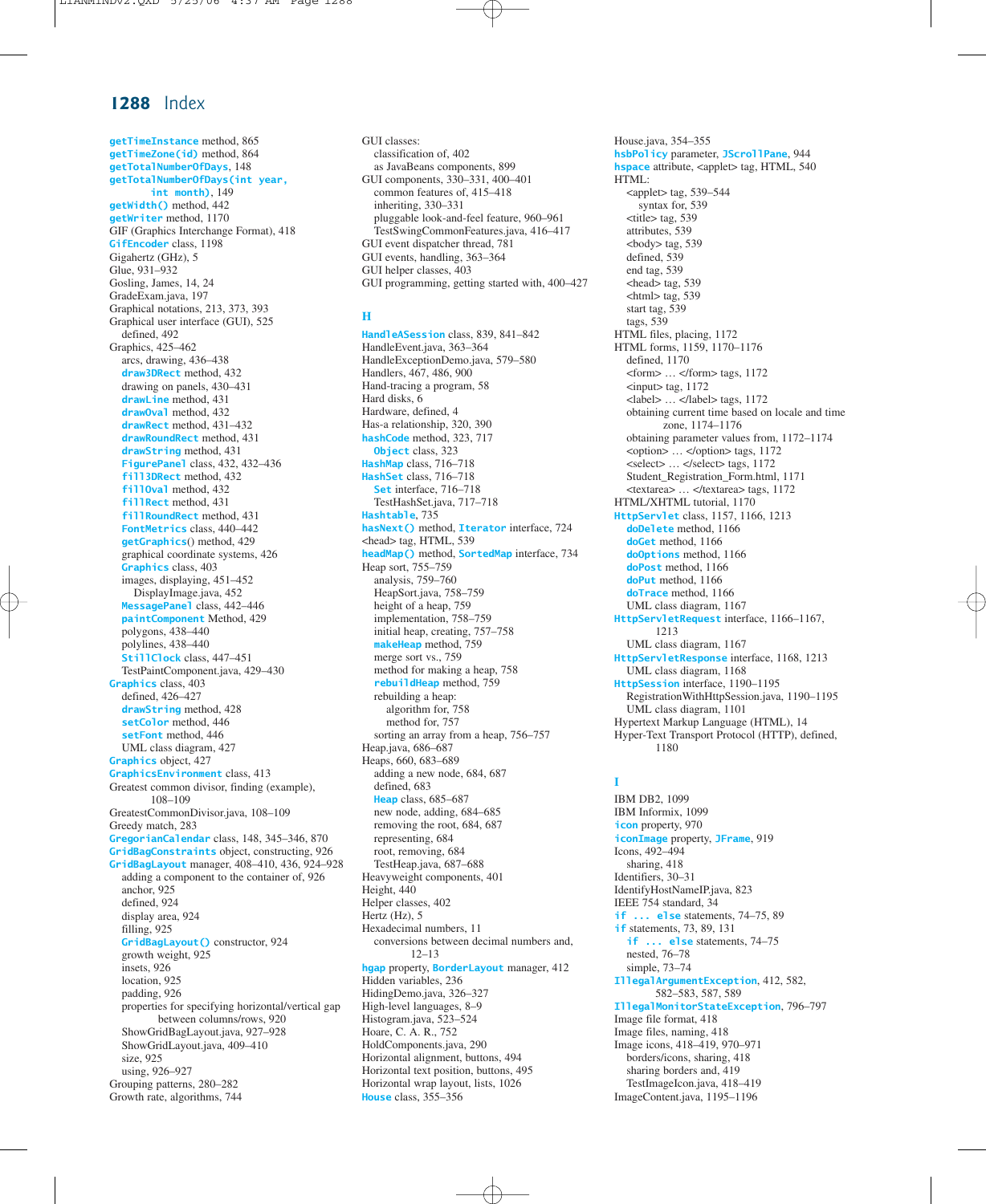**getTimeInstance** method, 865 **getTimeZone(id)** method, 864 **getTotalNumberOfDays**, 148 **getTotalNumberOfDays(int year, int month)**, 149 **getWidth()** method, 442 **getWriter** method, 1170 GIF (Graphics Interchange Format), 418 **GifEncoder** class, 1198 Gigahertz (GHz), 5 Glue, 931–932 Gosling, James, 14, 24 GradeExam.java, 197 Graphical notations, 213, 373, 393 Graphical user interface (GUI), 525 defined, 492 Graphics, 425–462 arcs, drawing, 436–438 **draw3DRect** method, 432 drawing on panels, 430–431 **drawLine** method, 431 **drawOval** method, 432 **drawRect** method, 431–432 **drawRoundRect** method, 431 **drawString** method, 431 **FigurePanel** class, 432, 432–436 **fill3DRect** method, 432 **fillOval** method, 432 **fillRect** method, 431 **fillRoundRect** method, 431 **FontMetrics** class, 440–442 **getGraphics**() method, 429 graphical coordinate systems, 426 **Graphics** class, 403 images, displaying, 451–452 DisplayImage.java, 452 **MessagePanel** class, 442–446 **paintComponent** Method, 429 polygons, 438–440 polylines, 438–440 **StillClock** class, 447–451 TestPaintComponent.java, 429–430 **Graphics** class, 403 defined, 426–427 **drawString** method, 428 **setColor** method, 446 **setFont** method, 446 UML class diagram, 427 **Graphics** object, 427 **GraphicsEnvironment** class, 413 Greatest common divisor, finding (example), 108–109 GreatestCommonDivisor.java, 108–109 Greedy match, 283 **GregorianCalendar** class, 148, 345–346, 870 **GridBagConstraints** object, constructing, 926 **GridBagLayout** manager, 408–410, 436, 924–928 adding a component to the container of, 926 anchor, 925 defined, 924 display area, 924 filling, 925 **GridBagLayout()** constructor, 924 growth weight, 925 insets, 926 location, 925 padding, 926 properties for specifying horizontal/vertical gap between columns/rows, 920 ShowGridBagLayout.java, 927–928 ShowGridLayout.java, 409–410 size, 925 using, 926–927 Grouping patterns, 280–282 Growth rate, algorithms, 744

GUI classes: classification of, 402 as JavaBeans components, 899 GUI components, 330–331, 400–401 common features of, 415–418 inheriting, 330–331 pluggable look-and-feel feature, 960–961 TestSwingCommonFeatures.java, 416–417 GUI event dispatcher thread, 781 GUI events, handling, 363–364 GUI helper classes, 403 GUI programming, getting started with, 400–427

#### **H**

**HandleASession** class, 839, 841–842 HandleEvent.java, 363–364 HandleExceptionDemo.java, 579–580 Handlers, 467, 486, 900 Hand-tracing a program, 58 Hard disks, 6 Hardware, defined, 4 Has-a relationship, 320, 390 **hashCode** method, 323, 717 **Object** class, 323 **HashMap** class, 716–718 **HashSet** class, 716–718 **Set** interface, 716–718 TestHashSet.java, 717–718 **Hashtable**, 735 **hasNext()** method, **Iterator** interface, 724 <head> tag, HTML, 539 **headMap()** method, **SortedMap** interface, 734 Heap sort, 755–759 analysis, 759–760 HeapSort.java, 758–759 height of a heap, 759 implementation, 758–759 initial heap, creating, 757–758 **makeHeap** method, 759 merge sort vs., 759 method for making a heap, 758 **rebuildHeap** method, 759 rebuilding a heap: algorithm for, 758 method for, 757 sorting an array from a heap, 756–757 Heap.java, 686–687 Heaps, 660, 683–689 adding a new node, 684, 687 defined, 683 **Heap** class, 685–687 new node, adding, 684–685 removing the root, 684, 687 representing, 684 root, removing, 684 TestHeap.java, 687–688 Heavyweight components, 401 Height, 440 Helper classes, 402 Hertz (Hz), 5 Hexadecimal numbers, 11 conversions between decimal numbers and, 12–13 **hgap** property, **BorderLayout** manager, 412 Hidden variables, 236 HidingDemo.java, 326–327 High-level languages, 8–9 Histogram.java, 523–524 Hoare, C. A. R., 752 HoldComponents.java, 290 Horizontal alignment, buttons, 494 Horizontal text position, buttons, 495 Horizontal wrap layout, lists, 1026 **House** class, 355–356

House.java, 354–355 **hsbPolicy** parameter, **JScrollPane**, 944 **hspace** attribute, <applet> tag, HTML, 540 HTML:  $\text{lt}$   $\text{lt}$   $\text{tag}, 539-544$ syntax for, 539 <title> tag, 539 attributes, 539 <body> tag, 539 defined, 539 end tag, 539 <head> tag, 539  $\text{thm}$  tag, 539 start tag, 539 tags, 539 HTML files, placing, 1172 HTML forms, 1159, 1170–1176 defined, 1170 <form> … </form> tags, 1172  $<$ input $>$  tag, 1172 <label> … </label> tags, 1172 obtaining current time based on locale and time zone, 1174–1176 obtaining parameter values from, 1172–1174  $<$ option $>$  ...  $<$ /option $>$  tags, 1172 <select> … </select> tags, 1172 Student\_Registration\_Form.html, 1171 <textarea> … </textarea> tags, 1172 HTML/XHTML tutorial, 1170 **HttpServlet** class, 1157, 1166, 1213 **doDelete** method, 1166 **doGet** method, 1166 **doOptions** method, 1166 **doPost** method, 1166 **doPut** method, 1166 **doTrace** method, 1166 UML class diagram, 1167 **HttpServletRequest** interface, 1166–1167, 1213 UML class diagram, 1167 **HttpServletResponse** interface, 1168, 1213 UML class diagram, 1168 **HttpSession** interface, 1190–1195 RegistrationWithHttpSession.java, 1190–1195 UML class diagram, 1101 Hypertext Markup Language (HTML), 14 Hyper-Text Transport Protocol (HTTP), defined,

## **I**

1180

IBM DB2, 1099 IBM Informix, 1099 **icon** property, 970 **iconImage** property, **JFrame**, 919 Icons, 492–494 sharing, 418 Identifiers, 30–31 IdentifyHostNameIP.java, 823 IEEE 754 standard, 34 **if ... else** statements, 74–75, 89 **if** statements, 73, 89, 131 **if ... else** statements, 74–75 nested, 76–78 simple, 73–74 **IllegalArgumentException**, 412, 582, 582–583, 587, 589 **IllegalMonitorStateException**, 796–797 Image file format, 418 Image files, naming, 418 Image icons, 418–419, 970–971 borders/icons, sharing, 418 sharing borders and, 419 TestImageIcon.java, 418–419 ImageContent.java, 1195–1196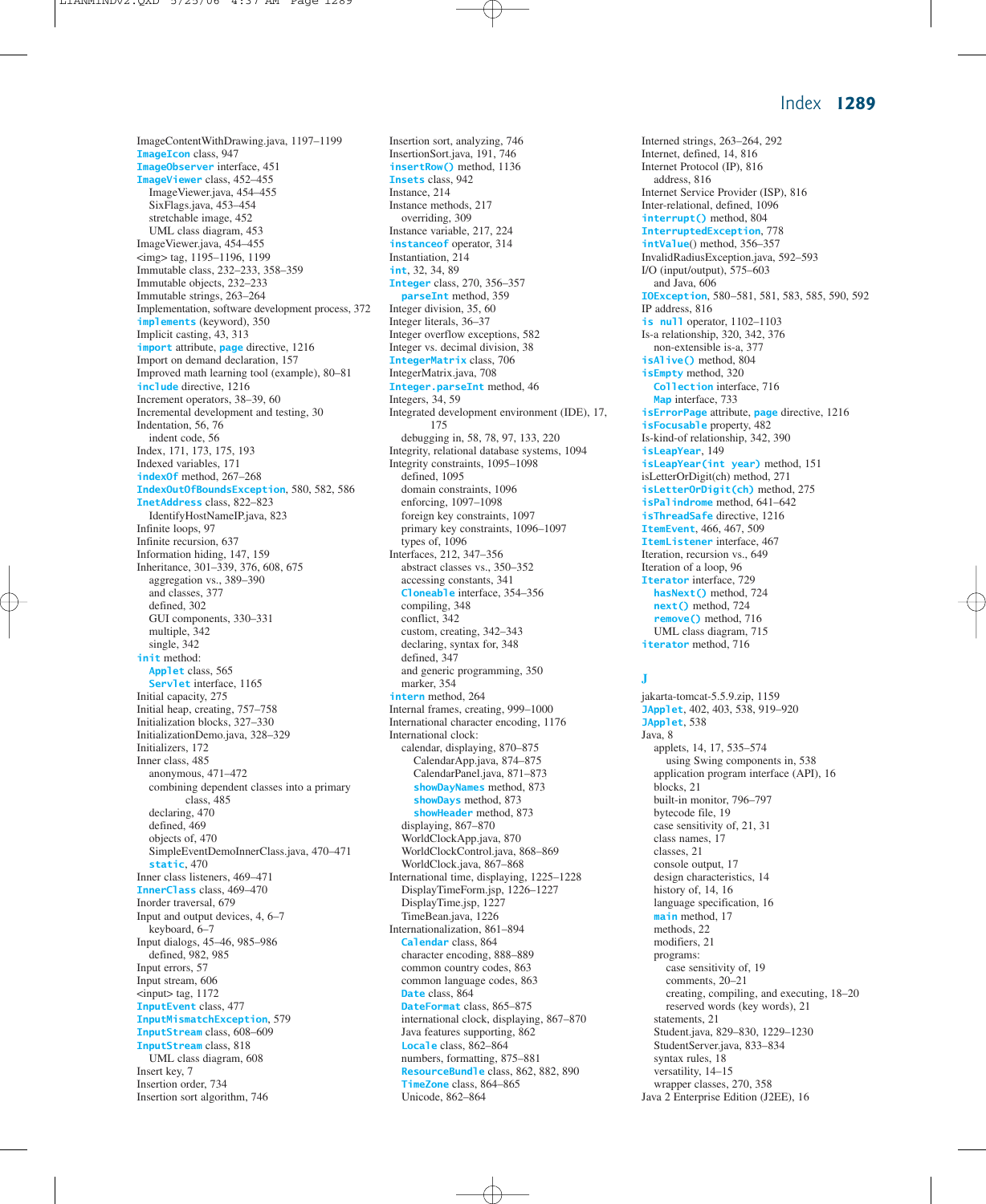ImageContentWithDrawing.java, 1197–1199 **ImageIcon** class, 947 **ImageObserver** interface, 451 **ImageViewer** class, 452–455 ImageViewer.java, 454–455 SixFlags.java, 453–454 stretchable image, 452 UML class diagram, 453 ImageViewer.java, 454–455 <img> tag, 1195–1196, 1199 Immutable class, 232–233, 358–359 Immutable objects, 232–233 Immutable strings, 263–264 Implementation, software development process, 372 **implements** (keyword), 350 Implicit casting, 43, 313 **import** attribute, **page** directive, 1216 Import on demand declaration, 157 Improved math learning tool (example), 80–81 **include** directive, 1216 Increment operators, 38–39, 60 Incremental development and testing, 30 Indentation, 56, 76 indent code, 56 Index, 171, 173, 175, 193 Indexed variables, 171 **indexOf** method, 267–268 **IndexOutOfBoundsException**, 580, 582, 586 **InetAddress** class, 822–823 IdentifyHostNameIP.java, 823 Infinite loops, 97 Infinite recursion, 637 Information hiding, 147, 159 Inheritance, 301–339, 376, 608, 675 aggregation vs., 389–390 and classes, 377 defined, 302 GUI components, 330–331 multiple, 342 single, 342 **init** method: **Applet** class, 565 **Servlet** interface, 1165 Initial capacity, 275 Initial heap, creating, 757–758 Initialization blocks, 327–330 InitializationDemo.java, 328–329 Initializers, 172 Inner class, 485 anonymous, 471–472 combining dependent classes into a primary class, 485 declaring, 470 defined, 469 objects of, 470 SimpleEventDemoInnerClass.java, 470–471 **static**, 470 Inner class listeners, 469–471 **InnerClass** class, 469–470 Inorder traversal, 679 Input and output devices, 4, 6–7 keyboard, 6–7 Input dialogs, 45–46, 985–986 defined, 982, 985 Input errors, 57 Input stream, 606  $<$ input $>$  tag, 1172 **InputEvent** class, 477 **InputMismatchException**, 579 **InputStream** class, 608–609 **InputStream** class, 818 UML class diagram, 608 Insert key, 7 Insertion order, 734 Insertion sort algorithm, 746

Insertion sort, analyzing, 746 InsertionSort.java, 191, 746 **insertRow()** method, 1136 **Insets** class, 942 Instance, 214 Instance methods, 217 overriding, 309 Instance variable, 217, 224 **instanceof** operator, 314 Instantiation, 214 **int**, 32, 34, 89 **Integer** class, 270, 356–357 **parseInt** method, 359 Integer division, 35, 60 Integer literals, 36–37 Integer overflow exceptions, 582 Integer vs. decimal division, 38 **IntegerMatrix** class, 706 IntegerMatrix.java, 708 **Integer.parseInt** method, 46 Integers, 34, 59 Integrated development environment (IDE), 17, 175 debugging in, 58, 78, 97, 133, 220 Integrity, relational database systems, 1094 Integrity constraints, 1095–1098 defined, 1095 domain constraints, 1096 enforcing, 1097–1098 foreign key constraints, 1097 primary key constraints, 1096–1097 types of, 1096 Interfaces, 212, 347–356 abstract classes vs., 350–352 accessing constants, 341 **Cloneable** interface, 354–356 compiling, 348 conflict, 342 custom, creating, 342–343 declaring, syntax for, 348 defined, 347 and generic programming, 350 marker, 354 **intern** method, 264 Internal frames, creating, 999–1000 International character encoding, 1176 International clock: calendar, displaying, 870–875 CalendarApp.java, 874–875 CalendarPanel.java, 871–873 **showDayNames** method, 873 **showDays** method, 873 **showHeader** method, 873 displaying, 867–870 WorldClockApp.java, 870 WorldClockControl.java, 868–869 WorldClock.java, 867–868 International time, displaying, 1225–1228 DisplayTimeForm.jsp, 1226–1227 DisplayTime.jsp, 1227 TimeBean.java, 1226 Internationalization, 861–894 **Calendar** class, 864 character encoding, 888–889 common country codes, 863 common language codes, 863 **Date** class, 864 **DateFormat** class, 865–875 international clock, displaying, 867–870 Java features supporting, 862 **Locale** class, 862–864 numbers, formatting, 875–881 **ResourceBundle** class, 862, 882, 890 **TimeZone** class, 864–865 Unicode, 862–864

Interned strings, 263–264, 292 Internet, defined, 14, 816 Internet Protocol (IP), 816 address, 816 Internet Service Provider (ISP), 816 Inter-relational, defined, 1096 **interrupt()** method, 804 **InterruptedException**, 778 **intValue**() method, 356–357 InvalidRadiusException.java, 592–593 I/O (input/output), 575–603 and Java, 606 **IOException**, 580–581, 581, 583, 585, 590, 592 IP address, 816 **is null** operator, 1102–1103 Is-a relationship, 320, 342, 376 non-extensible is-a, 377 **isAlive()** method, 804 **isEmpty** method, 320 **Collection** interface, 716 **Map** interface, 733 **isErrorPage** attribute, **page** directive, 1216 **isFocusable** property, 482 Is-kind-of relationship, 342, 390 **isLeapYear**, 149 **isLeapYear(int year)** method, 151 isLetterOrDigit(ch) method, 271 **isLetterOrDigit(ch)** method, 275 **isPalindrome** method, 641–642 **isThreadSafe** directive, 1216 **ItemEvent**, 466, 467, 509 **ItemListener** interface, 467 Iteration, recursion vs., 649 Iteration of a loop, 96 **Iterator** interface, 729 **hasNext()** method, 724 **next()** method, 724 **remove()** method, 716 UML class diagram, 715 **iterator** method, 716

#### **J**

jakarta-tomcat-5.5.9.zip, 1159 **JApplet**, 402, 403, 538, 919–920 **JApplet**, 538 Java, 8 applets, 14, 17, 535–574 using Swing components in, 538 application program interface (API), 16 blocks, 21 built-in monitor, 796–797 bytecode file, 19 case sensitivity of, 21, 31 class names, 17 classes, 21 console output, 17 design characteristics, 14 history of, 14, 16 language specification, 16 **main** method, 17 methods, 22 modifiers, 21 programs: case sensitivity of, 19 comments, 20–21 creating, compiling, and executing, 18–20 reserved words (key words), 21 statements, 21 Student.java, 829–830, 1229–1230 StudentServer.java, 833–834 syntax rules, 18 versatility, 14–15 wrapper classes, 270, 358 Java 2 Enterprise Edition (J2EE), 16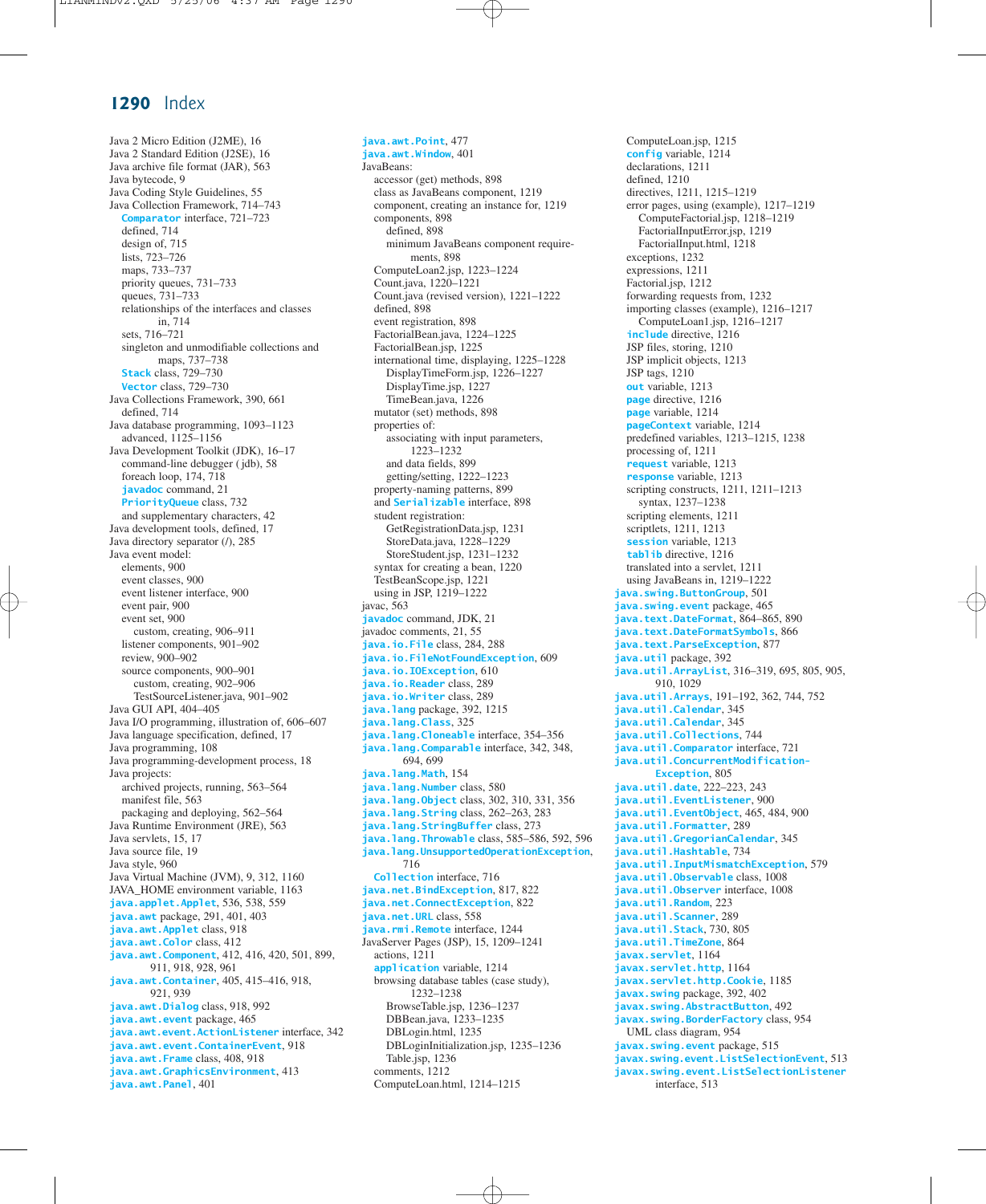Java 2 Micro Edition (J2ME), 16 Java 2 Standard Edition (J2SE), 16 Java archive file format (JAR), 563 Java bytecode, 9 Java Coding Style Guidelines, 55 Java Collection Framework, 714–743 **Comparator** interface, 721–723 defined, 714 design of, 715 lists, 723–726 maps, 733–737 priority queues, 731–733 queues, 731–733 relationships of the interfaces and classes in, 714 sets, 716–721 singleton and unmodifiable collections and maps, 737–738 **Stack** class, 729–730 **Vector** class, 729–730 Java Collections Framework, 390, 661 defined, 714 Java database programming, 1093–1123 advanced, 1125–1156 Java Development Toolkit (JDK), 16–17 command-line debugger ( jdb), 58 foreach loop, 174, 718 **javadoc** command, 21 **PriorityQueue** class, 732 and supplementary characters, 42 Java development tools, defined, 17 Java directory separator (/), 285 Java event model: elements, 900 event classes, 900 event listener interface, 900 event pair, 900 event set, 900 custom, creating, 906–911 listener components, 901–902 review, 900–902 source components, 900–901 custom, creating, 902–906 TestSourceListener.java, 901–902 Java GUI API, 404–405 Java I/O programming, illustration of, 606–607 Java language specification, defined, 17 Java programming, 108 Java programming-development process, 18 Java projects: archived projects, running, 563–564 manifest file, 563 packaging and deploying, 562–564 Java Runtime Environment (JRE), 563 Java servlets, 15, 17 Java source file, 19 Java style, 960 Java Virtual Machine (JVM), 9, 312, 1160 JAVA\_HOME environment variable, 1163 **java.applet.Applet**, 536, 538, 559 **java.awt** package, 291, 401, 403 **java.awt.Applet** class, 918 **java.awt.Color** class, 412 **java.awt.Component**, 412, 416, 420, 501, 899, 911, 918, 928, 961 **java.awt.Container**, 405, 415–416, 918, 921, 939 **java.awt.Dialog** class, 918, 992 **java.awt.event** package, 465 **java.awt.event.ActionListener** interface, 342 **java.awt.event.ContainerEvent**, 918 **java.awt.Frame** class, 408, 918 **java.awt.GraphicsEnvironment**, 413 **java.awt.Panel**, 401

**java.awt.Point**, 477 **java.awt.Window**, 401 JavaBeans: accessor (get) methods, 898 class as JavaBeans component, 1219 component, creating an instance for, 1219 components, 898 defined, 898 minimum JavaBeans component requirements, 898 ComputeLoan2.jsp, 1223–1224 Count.java, 1220–1221 Count.java (revised version), 1221–1222 defined, 898 event registration, 898 FactorialBean.java, 1224–1225 FactorialBean.jsp, 1225 international time, displaying, 1225–1228 DisplayTimeForm.jsp, 1226–1227 DisplayTime.jsp, 1227 TimeBean.java, 1226 mutator (set) methods, 898 properties of: associating with input parameters, 1223–1232 and data fields, 899 getting/setting, 1222–1223 property-naming patterns, 899 and **Serializable** interface, 898 student registration: GetRegistrationData.jsp, 1231 StoreData.java, 1228–1229 StoreStudent.jsp, 1231–1232 syntax for creating a bean, 1220 TestBeanScope.jsp, 1221 using in JSP, 1219–1222 javac, 563 **javadoc** command, JDK, 21 javadoc comments, 21, 55 **java.io.File** class, 284, 288 **java.io.FileNotFoundException**, 609 **java.io.IOException**, 610 **java.io.Reader** class, 289 **java.io.Writer** class, 289 **java.lang** package, 392, 1215 **java.lang.Class**, 325 **java.lang.Cloneable** interface, 354–356 **java.lang.Comparable** interface, 342, 348, 694, 699 **java.lang.Math**, 154 **java.lang.Number** class, 580 **java.lang.Object** class, 302, 310, 331, 356 **java.lang.String** class, 262–263, 283 **java.lang.StringBuffer** class, 273 **java.lang.Throwable** class, 585–586, 592, 596 **java.lang.UnsupportedOperationException**, 716 **Collection** interface, 716 **java.net.BindException**, 817, 822 **java.net.ConnectException**, 822 **java.net.URL** class, 558 **java.rmi.Remote** interface, 1244 JavaServer Pages (JSP), 15, 1209–1241 actions, 1211 **application** variable, 1214 browsing database tables (case study), 1232–1238 BrowseTable.jsp, 1236–1237 DBBean.java, 1233–1235 DBLogin.html, 1235 DBLoginInitialization.jsp, 1235–1236 Table.jsp, 1236 comments, 1212 ComputeLoan.html, 1214–1215

ComputeLoan.jsp, 1215 **config** variable, 1214 declarations, 1211 defined, 1210 directives, 1211, 1215–1219 error pages, using (example), 1217–1219 ComputeFactorial.jsp, 1218–1219 FactorialInputError.jsp, 1219 FactorialInput.html, 1218 exceptions, 1232 expressions, 1211 Factorial.jsp, 1212 forwarding requests from, 1232 importing classes (example), 1216–1217 ComputeLoan1.jsp, 1216–1217 **include** directive, 1216 JSP files, storing, 1210 JSP implicit objects, 1213 JSP tags, 1210 **out** variable, 1213 **page** directive, 1216 **page** variable, 1214 **pageContext** variable, 1214 predefined variables, 1213–1215, 1238 processing of, 1211 **request** variable, 1213 **response** variable, 1213 scripting constructs, 1211, 1211–1213 syntax, 1237–1238 scripting elements, 1211 scriptlets, 1211, 1213 **session** variable, 1213 tablib directive, 1216 translated into a servlet, 1211 using JavaBeans in, 1219–1222 **java.swing.ButtonGroup**, 501 **java.swing.event** package, 465 **java.text.DateFormat**, 864–865, 890 **java.text.DateFormatSymbols**, 866 **java.text.ParseException**, 877 **java.util** package, 392 **java.util.ArrayList**, 316–319, 695, 805, 905, 910, 1029 **java.util.Arrays**, 191–192, 362, 744, 752 **java.util.Calendar**, 345 **java.util.Calendar**, 345 **java.util.Collections**, 744 **java.util.Comparator** interface, 721 **java.util.ConcurrentModification-Exception**, 805 **java.util.date**, 222–223, 243 **java.util.EventListener**, 900 **java.util.EventObject**, 465, 484, 900 **java.util.Formatter**, 289 **java.util.GregorianCalendar**, 345 **java.util.Hashtable**, 734 **java.util.InputMismatchException**, 579 **java.util.Observable** class, 1008 **java.util.Observer** interface, 1008 **java.util.Random**, 223 **java.util.Scanner**, 289 **java.util.Stack**, 730, 805 **java.util.TimeZone**, 864 **javax.servlet**, 1164 **javax.servlet.http**, 1164 **javax.servlet.http.Cookie**, 1185 **javax.swing** package, 392, 402 **javax.swing.AbstractButton**, 492 **javax.swing.BorderFactory** class, 954 UML class diagram, 954 **javax.swing.event** package, 515 **javax.swing.event.ListSelectionEvent**, 513 **javax.swing.event.ListSelectionListener** interface, 513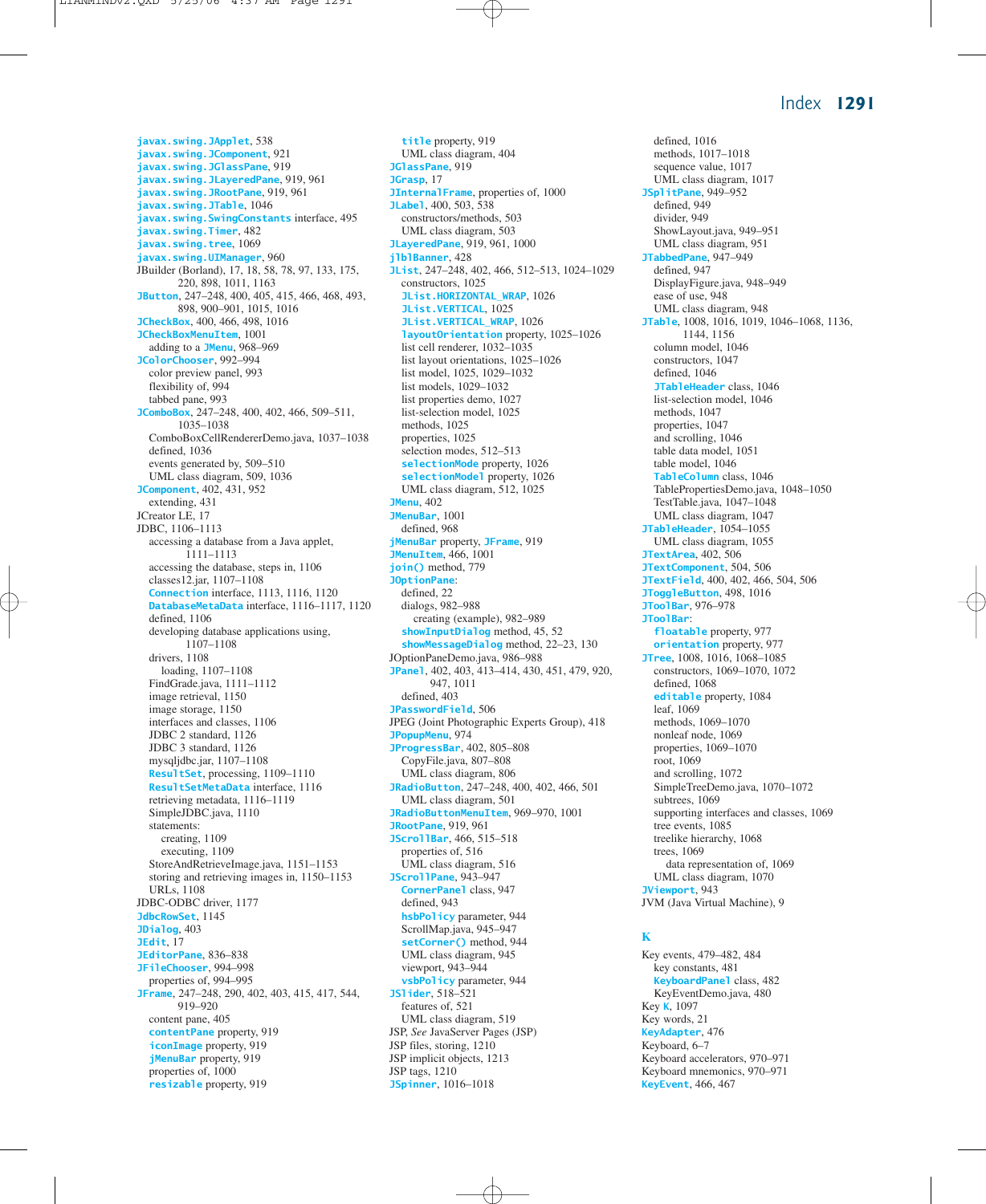**javax.swing.JApplet**, 538 **javax.swing.JComponent**, 921 **javax.swing.JGlassPane**, 919 **javax.swing.JLayeredPane**, 919, 961 **javax.swing.JRootPane**, 919, 961 **javax.swing.JTable**, 1046 **javax.swing.SwingConstants** interface, 495 **javax.swing.Timer**, 482 **javax.swing.tree**, 1069 **javax.swing.UIManager**, 960 JBuilder (Borland), 17, 18, 58, 78, 97, 133, 175, 220, 898, 1011, 1163 **JButton**, 247–248, 400, 405, 415, 466, 468, 493, 898, 900–901, 1015, 1016 **JCheckBox**, 400, 466, 498, 1016 **JCheckBoxMenuItem**, 1001 adding to a **JMenu**, 968–969 **JColorChooser**, 992–994 color preview panel, 993 flexibility of, 994 tabbed pane, 993 **JComboBox**, 247–248, 400, 402, 466, 509–511, 1035–1038 ComboBoxCellRendererDemo.java, 1037–1038 defined, 1036 events generated by, 509–510 UML class diagram, 509, 1036 **JComponent**, 402, 431, 952 extending, 431 JCreator LE, 17 JDBC, 1106–1113 accessing a database from a Java applet, 1111–1113 accessing the database, steps in, 1106 classes12.jar, 1107–1108 **Connection** interface, 1113, 1116, 1120 **DatabaseMetaData** interface, 1116–1117, 1120 defined, 1106 developing database applications using, 1107–1108 drivers, 1108 loading, 1107–1108 FindGrade.java, 1111–1112 image retrieval, 1150 image storage, 1150 interfaces and classes, 1106 JDBC 2 standard, 1126 JDBC 3 standard, 1126 mysqljdbc.jar, 1107–1108 **ResultSet**, processing, 1109–1110 **ResultSetMetaData** interface, 1116 retrieving metadata, 1116–1119 SimpleJDBC.java, 1110 statements: creating, 1109 executing, 1109 StoreAndRetrieveImage.java, 1151–1153 storing and retrieving images in, 1150–1153 URLs, 1108 JDBC-ODBC driver, 1177 **JdbcRowSet**, 1145 **JDialog**, 403 **JEdit**, 17 **JEditorPane**, 836–838 **JFileChooser**, 994–998 properties of, 994–995 **JFrame**, 247–248, 290, 402, 403, 415, 417, 544, 919–920 content pane, 405 **contentPane** property, 919 **iconImage** property, 919 **jMenuBar** property, 919 properties of, 1000 **resizable** property, 919

**title** property, 919 UML class diagram, 404 **JGlassPane**, 919 **JGrasp**, 17 **JInternalFrame**, properties of, 1000 **JLabel**, 400, 503, 538 constructors/methods, 503 UML class diagram, 503 **JLayeredPane**, 919, 961, 1000 **jlblBanner**, 428 **JList**, 247–248, 402, 466, 512–513, 1024–1029 constructors, 1025 **JList.HORIZONTAL\_WRAP**, 1026 **JList.VERTICAL**, 1025 **JList.VERTICAL\_WRAP**, 1026 **layoutOrientation** property, 1025–1026 list cell renderer, 1032–1035 list layout orientations, 1025–1026 list model, 1025, 1029–1032 list models, 1029–1032 list properties demo, 1027 list-selection model, 1025 methods, 1025 properties, 1025 selection modes, 512–513 **selectionMode** property, 1026 **selectionModel** property, 1026 UML class diagram, 512, 1025 **JMenu**, 402 **JMenuBar**, 1001 defined, 968 **jMenuBar** property, **JFrame**, 919 **JMenuItem**, 466, 1001 **join()** method, 779 **JOptionPane**: defined, 22 dialogs, 982–988 creating (example), 982–989 **showInputDialog** method, 45, 52 **showMessageDialog** method, 22–23, 130 JOptionPaneDemo.java, 986–988 **JPanel**, 402, 403, 413–414, 430, 451, 479, 920, 947, 1011 defined, 403 **JPasswordField**, 506 JPEG (Joint Photographic Experts Group), 418 **JPopupMenu**, 974 **JProgressBar**, 402, 805–808 CopyFile.java, 807–808 UML class diagram, 806 **JRadioButton**, 247–248, 400, 402, 466, 501 UML class diagram, 501 **JRadioButtonMenuItem**, 969–970, 1001 **JRootPane**, 919, 961 **JScrollBar**, 466, 515–518 properties of, 516 UML class diagram, 516 **JScrollPane**, 943–947 **CornerPanel** class, 947 defined, 943 **hsbPolicy** parameter, 944 ScrollMap.java, 945–947 **setCorner()** method, 944 UML class diagram, 945 viewport, 943–944 **vsbPolicy** parameter, 944 **JSlider**, 518–521 features of, 521 UML class diagram, 519 JSP, *See* JavaServer Pages (JSP) JSP files, storing, 1210 JSP implicit objects, 1213 JSP tags, 1210 **JSpinner**, 1016–1018

defined, 1016 methods, 1017–1018 sequence value, 1017 UML class diagram, 1017 **JSplitPane**, 949–952 defined, 949 divider, 949 ShowLayout.java, 949–951 UML class diagram, 951 **JTabbedPane**, 947–949 defined, 947 DisplayFigure.java, 948–949 ease of use, 948 UML class diagram, 948 **JTable**, 1008, 1016, 1019, 1046–1068, 1136, 1144, 1156 column model, 1046 constructors, 1047 defined, 1046 **JTableHeader** class, 1046 list-selection model, 1046 methods, 1047 properties, 1047 and scrolling, 1046 table data model, 1051 table model, 1046 **TableColumn** class, 1046 TablePropertiesDemo.java, 1048–1050 TestTable.java, 1047–1048 UML class diagram, 1047 **JTableHeader**, 1054–1055 UML class diagram, 1055 **JTextArea**, 402, 506 **JTextComponent**, 504, 506 **JTextField**, 400, 402, 466, 504, 506 **JToggleButton**, 498, 1016 **JToolBar**, 976–978 **JToolBar**: **floatable** property, 977 **orientation** property, 977 **JTree**, 1008, 1016, 1068–1085 constructors, 1069–1070, 1072 defined, 1068 **editable** property, 1084 leaf, 1069 methods, 1069–1070 nonleaf node, 1069 properties, 1069–1070 root, 1069 and scrolling, 1072 SimpleTreeDemo.java, 1070–1072 subtrees, 1069 supporting interfaces and classes, 1069 tree events, 1085 treelike hierarchy, 1068 trees, 1069 data representation of, 1069 UML class diagram, 1070 **JViewport**, 943 JVM (Java Virtual Machine), 9

#### **K**

Key events, 479–482, 484 key constants, 481 **KeyboardPanel** class, 482 KeyEventDemo.java, 480 Key **K**, 1097 Key words, 21 **KeyAdapter**, 476 Keyboard, 6–7 Keyboard accelerators, 970–971 Keyboard mnemonics, 970–971 **KeyEvent**, 466, 467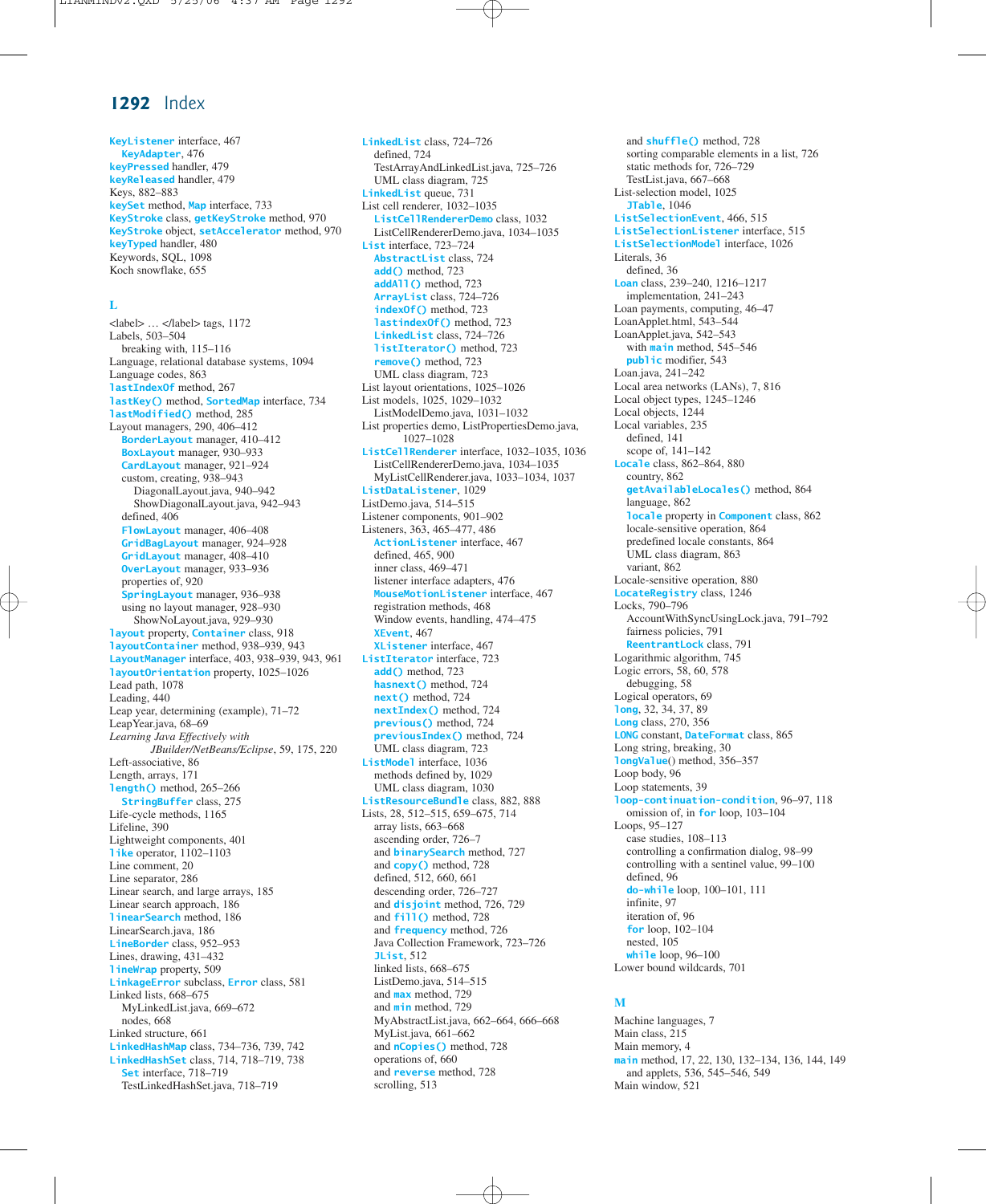**KeyListener** interface, 467 **KeyAdapter**, 476 **keyPressed** handler, 479 **keyReleased** handler, 479 Keys, 882–883 **keySet** method, **Map** interface, 733 **KeyStroke** class, **getKeyStroke** method, 970 **KeyStroke** object, **setAccelerator** method, 970 **keyTyped** handler, 480 Keywords, SQL, 1098 Koch snowflake, 655

## **L**

<label> … </label> tags, 1172 Labels, 503–504 breaking with, 115–116 Language, relational database systems, 1094 Language codes, 863 **lastIndexOf** method, 267 **lastKey()** method, **SortedMap** interface, 734 **lastModified()** method, 285 Layout managers, 290, 406–412 **BorderLayout** manager, 410–412 **BoxLayout** manager, 930–933 **CardLayout** manager, 921–924 custom, creating, 938–943 DiagonalLayout.java, 940–942 ShowDiagonalLayout.java, 942–943 defined, 406 **FlowLayout** manager, 406–408 **GridBagLayout** manager, 924–928 **GridLayout** manager, 408–410 **OverLayout** manager, 933–936 properties of, 920 **SpringLayout** manager, 936–938 using no layout manager, 928–930 ShowNoLayout.java, 929–930 **layout** property, **Container** class, 918 **layoutContainer** method, 938–939, 943 **LayoutManager** interface, 403, 938–939, 943, 961 **layoutOrientation** property, 1025–1026 Lead path, 1078 Leading, 440 Leap year, determining (example), 71–72 LeapYear.java, 68–69 *Learning Java Effectively with JBuilder/NetBeans/Eclipse*, 59, 175, 220 Left-associative, 86 Length, arrays, 171 **length()** method, 265–266 **StringBuffer** class, 275 Life-cycle methods, 1165 Lifeline, 390 Lightweight components, 401 **like** operator, 1102–1103 Line comment, 20 Line separator, 286 Linear search, and large arrays, 185 Linear search approach, 186 **linearSearch** method, 186 LinearSearch.java, 186 **LineBorder** class, 952–953 Lines, drawing, 431–432 **lineWrap** property, 509 **LinkageError** subclass, **Error** class, 581 Linked lists, 668–675 MyLinkedList.java, 669–672 nodes, 668 Linked structure, 661 **LinkedHashMap** class, 734–736, 739, 742 **LinkedHashSet** class, 714, 718–719, 738 **Set** interface, 718–719 TestLinkedHashSet.java, 718–719

**LinkedList** class, 724–726 defined, 724 TestArrayAndLinkedList.java, 725–726 UML class diagram, 725 **LinkedList** queue, 731 List cell renderer, 1032–1035 **ListCellRendererDemo** class, 1032 ListCellRendererDemo.java, 1034–1035 **List** interface, 723–724 **AbstractList** class, 724 **add()** method, 723 **addAll()** method, 723 **ArrayList** class, 724–726 **indexOf()** method, 723 **lastindexOf()** method, 723 **LinkedList** class, 724–726 **listIterator()** method, 723 **remove()** method, 723 UML class diagram, 723 List layout orientations, 1025–1026 List models, 1025, 1029–1032 ListModelDemo.java, 1031–1032 List properties demo, ListPropertiesDemo.java, 1027–1028 **ListCellRenderer** interface, 1032–1035, 1036 ListCellRendererDemo.java, 1034–1035 MyListCellRenderer.java, 1033–1034, 1037 **ListDataListener**, 1029 ListDemo.java, 514–515 Listener components, 901–902 Listeners, 363, 465–477, 486 **ActionListener** interface, 467 defined, 465, 900 inner class, 469–471 listener interface adapters, 476 **MouseMotionListener** interface, 467 registration methods, 468 Window events, handling, 474–475 **XEvent**, 467 **XListener** interface, 467 **ListIterator** interface, 723 **add()** method, 723 **hasnext()** method, 724 **next()** method, 724 **nextIndex()** method, 724 **previous()** method, 724 **previousIndex()** method, 724 UML class diagram, 723 **ListModel** interface, 1036 methods defined by, 1029 UML class diagram, 1030 **ListResourceBundle** class, 882, 888 Lists, 28, 512–515, 659–675, 714 array lists, 663–668 ascending order, 726–7 and **binarySearch** method, 727 and **copy()** method, 728 defined, 512, 660, 661 descending order, 726–727 and **disjoint** method, 726, 729 and **fill()** method, 728 and **frequency** method, 726 Java Collection Framework, 723–726 **JList**, 512 linked lists, 668–675 ListDemo.java, 514–515 and **max** method, 729 and **min** method, 729 MyAbstractList.java, 662–664, 666–668 MyList.java, 661–662 and **nCopies()** method, 728 operations of, 660 and **reverse** method, 728 scrolling, 513

and **shuffle()** method, 728 sorting comparable elements in a list, 726 static methods for, 726–729 TestList.java, 667–668 List-selection model, 1025 **JTable**, 1046 **ListSelectionEvent**, 466, 515 **ListSelectionListener** interface, 515 **ListSelectionModel** interface, 1026 Literals, 36 defined, 36 **Loan** class, 239–240, 1216–1217 implementation, 241–243 Loan payments, computing, 46–47 LoanApplet.html, 543–544 LoanApplet.java, 542–543 with **main** method, 545–546 **public** modifier, 543 Loan.java, 241–242 Local area networks (LANs), 7, 816 Local object types, 1245–1246 Local objects, 1244 Local variables, 235 defined, 141 scope of, 141–142 **Locale** class, 862–864, 880 country, 862 **getAvailableLocales()** method, 864 language, 862 **locale** property in **Component** class, 862 locale-sensitive operation, 864 predefined locale constants, 864 UML class diagram, 863 variant, 862 Locale-sensitive operation, 880 **LocateRegistry** class, 1246 Locks, 790–796 AccountWithSyncUsingLock.java, 791–792 fairness policies, 791 **ReentrantLock** class, 791 Logarithmic algorithm, 745 Logic errors, 58, 60, 578 debugging, 58 Logical operators, 69 **long**, 32, 34, 37, 89 **Long** class, 270, 356 **LONG** constant, **DateFormat** class, 865 Long string, breaking, 30 **longValue**() method, 356–357 Loop body, 96 Loop statements, 39 **loop-continuation-condition**, 96–97, 118 omission of, in **for** loop, 103–104 Loops, 95–127 case studies, 108–113 controlling a confirmation dialog, 98–99 controlling with a sentinel value, 99–100 defined, 96 **do-while** loop, 100–101, 111 infinite, 97 iteration of, 96 **for** loop, 102–104 nested, 105 **while** loop, 96–100 Lower bound wildcards, 701

#### **M**

Machine languages, 7 Main class, 215 Main memory, 4 **main** method, 17, 22, 130, 132–134, 136, 144, 149 and applets, 536, 545–546, 549 Main window, 521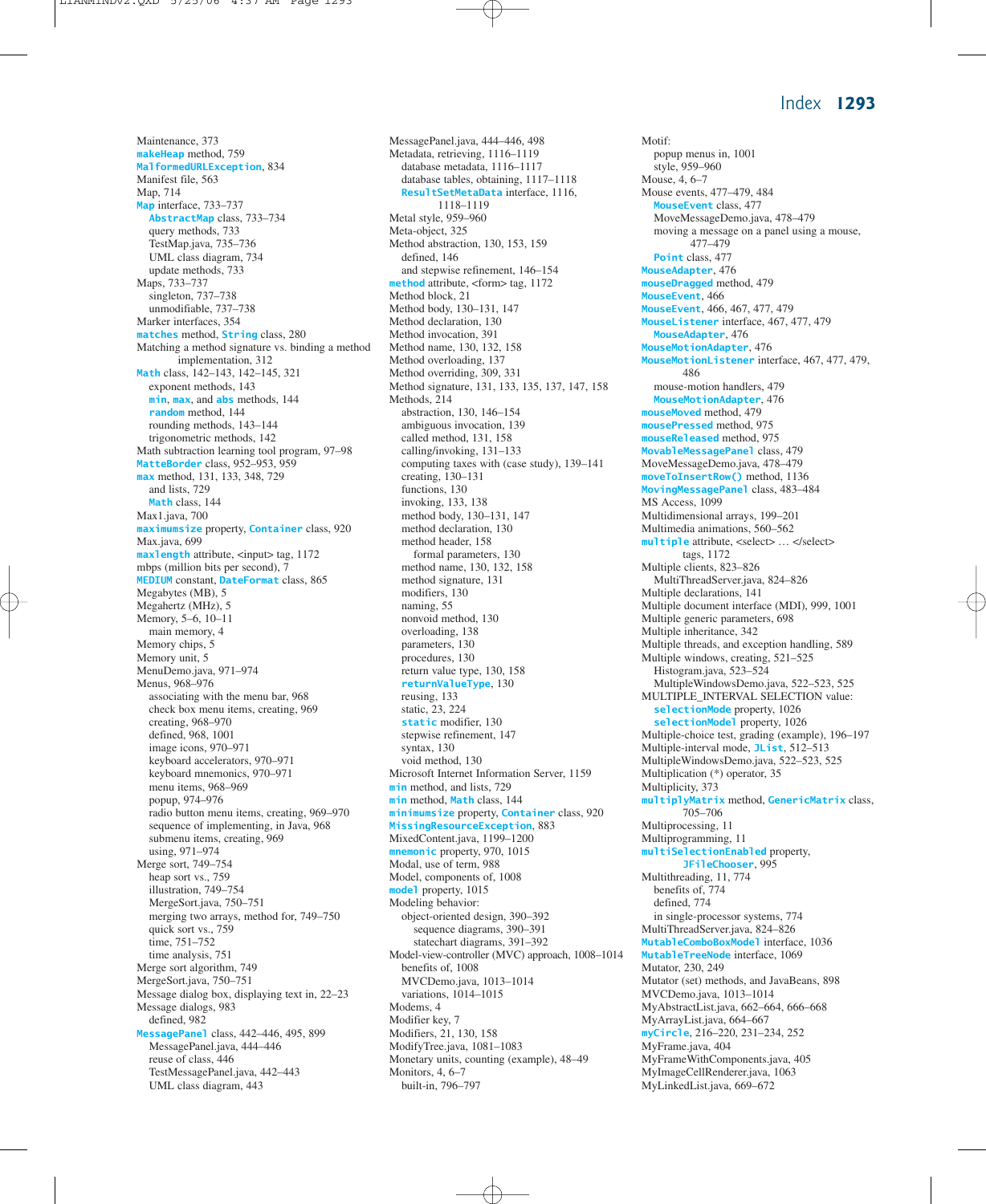Maintenance, 373 **makeHeap** method, 759 **MalformedURLException**, 834 Manifest file, 563 Map, 714 **Map** interface, 733–737 **AbstractMap** class, 733–734 query methods, 733 TestMap.java, 735–736 UML class diagram, 734 update methods, 733 Maps, 733–737 singleton, 737–738 unmodifiable, 737–738 Marker interfaces, 354 **matches** method, **String** class, 280 Matching a method signature vs. binding a method implementation, 312 **Math** class, 142–143, 142–145, 321 exponent methods, 143 **min**, **max**, and **abs** methods, 144 **random** method, 144 rounding methods, 143–144 trigonometric methods, 142 Math subtraction learning tool program, 97–98 **MatteBorder** class, 952–953, 959 **max** method, 131, 133, 348, 729 and lists, 729 **Math** class, 144 Max1.java, 700 **maximumsize** property, **Container** class, 920 Max.java, 699 **maxlength** attribute,  $\langle$ input> tag, 1172 mbps (million bits per second), 7 **MEDIUM** constant, **DateFormat** class, 865 Megabytes (MB), 5 Megahertz (MHz), 5 Memory, 5–6, 10–11 main memory, 4 Memory chips, 5 Memory unit, 5 MenuDemo.java, 971–974 Menus, 968–976 associating with the menu bar, 968 check box menu items, creating, 969 creating, 968–970 defined, 968, 1001 image icons, 970–971 keyboard accelerators, 970–971 keyboard mnemonics, 970–971 menu items, 968–969 popup, 974–976 radio button menu items, creating, 969–970 sequence of implementing, in Java, 968 submenu items, creating, 969 using, 971–974 Merge sort, 749–754 heap sort vs., 759 illustration, 749–754 MergeSort.java, 750–751 merging two arrays, method for, 749–750 quick sort vs., 759 time, 751–752 time analysis, 751 Merge sort algorithm, 749 MergeSort.java, 750–751 Message dialog box, displaying text in, 22–23 Message dialogs, 983 defined, 982 **MessagePanel** class, 442–446, 495, 899 MessagePanel.java, 444–446 reuse of class, 446 TestMessagePanel.java, 442–443 UML class diagram, 443

MessagePanel.java, 444–446, 498 Metadata, retrieving, 1116–1119 database metadata, 1116–1117 database tables, obtaining, 1117–1118 **ResultSetMetaData** interface, 1116, 1118–1119 Metal style, 959–960 Meta-object, 325 Method abstraction, 130, 153, 159 defined, 146 and stepwise refinement, 146–154 **method** attribute, <form> tag, 1172 Method block, 21 Method body, 130–131, 147 Method declaration, 130 Method invocation, 391 Method name, 130, 132, 158 Method overloading, 137 Method overriding, 309, 331 Method signature, 131, 133, 135, 137, 147, 158 Methods, 214 abstraction, 130, 146–154 ambiguous invocation, 139 called method, 131, 158 calling/invoking, 131–133 computing taxes with (case study), 139–141 creating, 130–131 functions, 130 invoking, 133, 138 method body, 130–131, 147 method declaration, 130 method header, 158 formal parameters, 130 method name, 130, 132, 158 method signature, 131 modifiers, 130 naming, 55 nonvoid method, 130 overloading, 138 parameters, 130 procedures, 130 return value type, 130, 158 **returnValueType**, 130 reusing, 133 static, 23, 224 **static** modifier, 130 stepwise refinement, 147 syntax, 130 void method, 130 Microsoft Internet Information Server, 1159 **min** method, and lists, 729 **min** method, **Math** class, 144 **minimumsize** property, **Container** class, 920 **MissingResourceException**, 883 MixedContent.java, 1199–1200 **mnemonic** property, 970, 1015 Modal, use of term, 988 Model, components of, 1008 **model** property, 1015 Modeling behavior: object-oriented design, 390–392 sequence diagrams, 390–391 statechart diagrams, 391–392 Model-view-controller (MVC) approach, 1008–1014 benefits of, 1008 MVCDemo.java, 1013–1014 variations, 1014–1015 Modems, 4 Modifier key, 7 Modifiers, 21, 130, 158 ModifyTree.java, 1081–1083 Monetary units, counting (example), 48–49 Monitors, 4, 6–7 built-in, 796–797

Motif: popup menus in, 1001 style, 959–960 Mouse, 4, 6–7 Mouse events, 477–479, 484 **MouseEvent** class, 477 MoveMessageDemo.java, 478–479 moving a message on a panel using a mouse, 477–479 **Point** class, 477 **MouseAdapter**, 476 **mouseDragged** method, 479 **MouseEvent**, 466 **MouseEvent**, 466, 467, 477, 479 **MouseListener** interface, 467, 477, 479 **MouseAdapter**, 476 **MouseMotionAdapter**, 476 **MouseMotionListener** interface, 467, 477, 479, 486 mouse-motion handlers, 479 **MouseMotionAdapter**, 476 **mouseMoved** method, 479 **mousePressed** method, 975 **mouseReleased** method, 975 **MovableMessagePanel** class, 479 MoveMessageDemo.java, 478–479 **moveToInsertRow()** method, 1136 **MovingMessagePanel** class, 483–484 MS Access, 1099 Multidimensional arrays, 199–201 Multimedia animations, 560–562 **multiple** attribute, <select> … </select> tags, 1172 Multiple clients, 823–826 MultiThreadServer.java, 824–826 Multiple declarations, 141 Multiple document interface (MDI), 999, 1001 Multiple generic parameters, 698 Multiple inheritance, 342 Multiple threads, and exception handling, 589 Multiple windows, creating, 521–525 Histogram.java, 523–524 MultipleWindowsDemo.java, 522–523, 525 MULTIPLE\_INTERVAL SELECTION value: **selectionMode** property, 1026 **selectionModel** property, 1026 Multiple-choice test, grading (example), 196–197 Multiple-interval mode, **JList**, 512–513 MultipleWindowsDemo.java, 522–523, 525 Multiplication (\*) operator, 35 Multiplicity, 373 **multiplyMatrix** method, **GenericMatrix** class, 705–706 Multiprocessing, 11 Multiprogramming, 11 **multiSelectionEnabled** property, **JFileChooser**, 995 Multithreading, 11, 774 benefits of, 774 defined, 774 in single-processor systems, 774 MultiThreadServer.java, 824–826 **MutableComboBoxModel** interface, 1036 **MutableTreeNode** interface, 1069 Mutator, 230, 249 Mutator (set) methods, and JavaBeans, 898 MVCDemo.java, 1013–1014 MyAbstractList.java, 662–664, 666–668 MyArrayList.java, 664–667 **myCircle**, 216–220, 231–234, 252 MyFrame.java, 404 MyFrameWithComponents.java, 405 MyImageCellRenderer.java, 1063 MyLinkedList.java, 669–672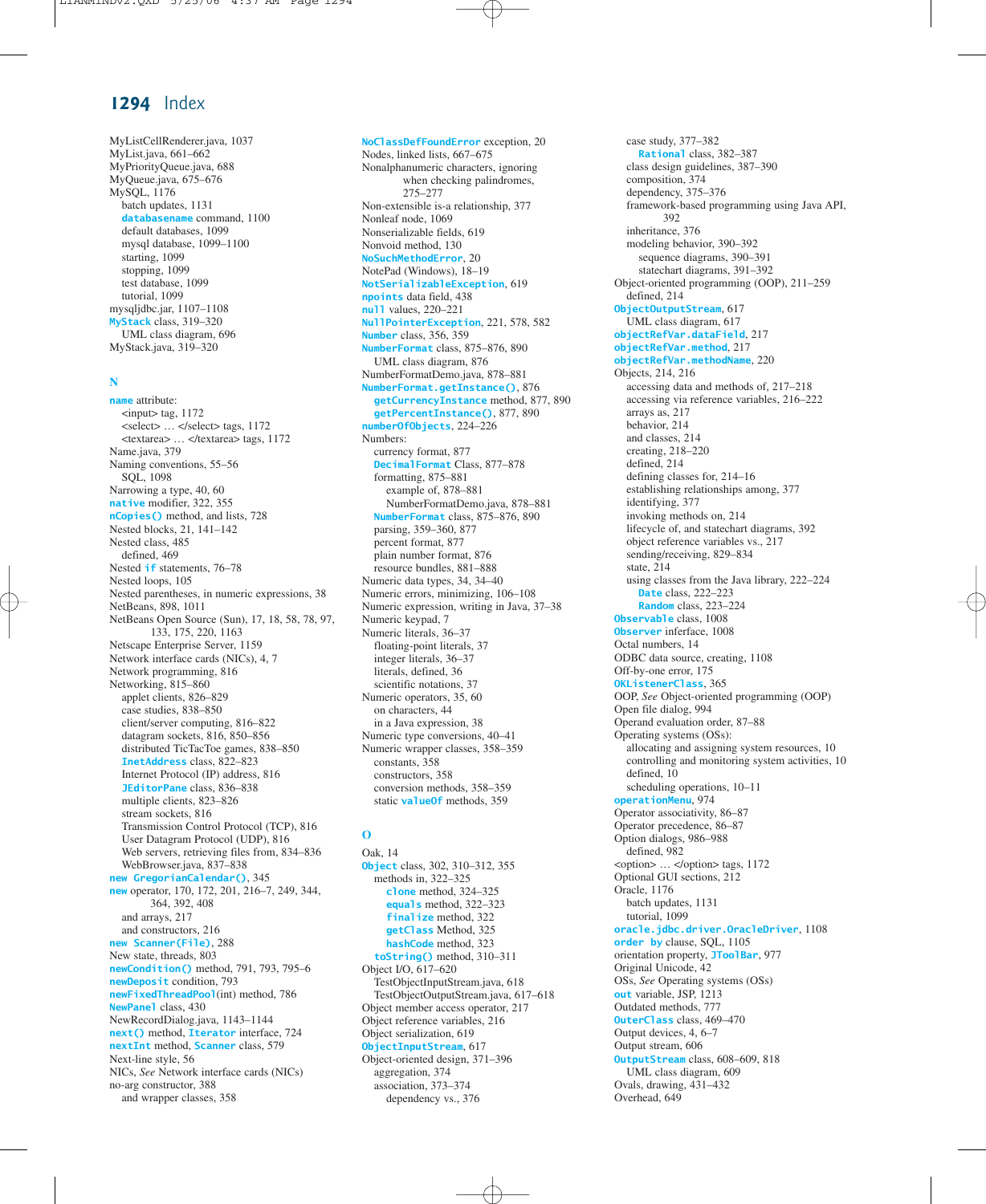MyListCellRenderer.java, 1037 MyList.java, 661–662 MyPriorityQueue.java, 688 MyQueue.java, 675–676 MySQL, 1176 batch updates, 1131 **databasename** command, 1100 default databases, 1099 mysql database, 1099–1100 starting, 1099 stopping, 1099 test database, 1099 tutorial, 1099 mysqljdbc.jar, 1107–1108 **MyStack** class, 319–320 UML class diagram, 696 MyStack.java, 319–320

#### **N**

**name** attribute: <input> tag, 1172 <select> … </select> tags, 1172 <textarea> … </textarea> tags, 1172 Name.java, 379 Naming conventions, 55–56 SQL, 1098 Narrowing a type, 40, 60 **native** modifier, 322, 355 **nCopies()** method, and lists, 728 Nested blocks, 21, 141–142 Nested class, 485 defined, 469 Nested **if** statements, 76–78 Nested loops, 105 Nested parentheses, in numeric expressions, 38 NetBeans, 898, 1011 NetBeans Open Source (Sun), 17, 18, 58, 78, 97, 133, 175, 220, 1163 Netscape Enterprise Server, 1159 Network interface cards (NICs), 4, 7 Network programming, 816 Networking, 815–860 applet clients, 826–829 case studies, 838–850 client/server computing, 816–822 datagram sockets, 816, 850–856 distributed TicTacToe games, 838–850 **InetAddress** class, 822–823 Internet Protocol (IP) address, 816 **JEditorPane** class, 836–838 multiple clients, 823–826 stream sockets, 816 Transmission Control Protocol (TCP), 816 User Datagram Protocol (UDP), 816 Web servers, retrieving files from, 834–836 WebBrowser.java, 837–838 **new GregorianCalendar()**, 345 **new** operator, 170, 172, 201, 216–7, 249, 344, 364, 392, 408 and arrays, 217 and constructors, 216 **new Scanner(File)**, 288 New state, threads, 803 **newCondition()** method, 791, 793, 795–6 **newDeposit** condition, 793 **newFixedThreadPool**(int) method, 786 **NewPanel** class, 430 NewRecordDialog.java, 1143–1144 **next()** method, **Iterator** interface, 724 **nextInt** method, **Scanner** class, 579 Next-line style, 56 NICs, *See* Network interface cards (NICs) no-arg constructor, 388 and wrapper classes, 358

**NoClassDefFoundError** exception, 20 Nodes, linked lists, 667–675 Nonalphanumeric characters, ignoring when checking palindromes, 275–277 Non-extensible is-a relationship, 377 Nonleaf node, 1069 Nonserializable fields, 619 Nonvoid method, 130 **NoSuchMethodError**, 20 NotePad (Windows), 18–19 **NotSerializableException**, 619 **npoints** data field, 438 **null** values, 220–221 **NullPointerException**, 221, 578, 582 **Number** class, 356, 359 **NumberFormat** class, 875–876, 890 UML class diagram, 876 NumberFormatDemo.java, 878–881 **NumberFormat.getInstance()**, 876 **getCurrencyInstance** method, 877, 890 **getPercentInstance()**, 877, 890 **numberOfObjects**, 224–226 Numbers: currency format, 877 **DecimalFormat** Class, 877–878 formatting, 875–881 example of, 878–881 NumberFormatDemo.java, 878–881 **NumberFormat** class, 875–876, 890 parsing, 359–360, 877 percent format, 877 plain number format, 876 resource bundles, 881–888 Numeric data types, 34, 34–40 Numeric errors, minimizing, 106–108 Numeric expression, writing in Java, 37–38 Numeric keypad, 7 Numeric literals, 36–37 floating-point literals, 37 integer literals, 36–37 literals, defined, 36 scientific notations, 37 Numeric operators, 35, 60 on characters, 44 in a Java expression, 38 Numeric type conversions, 40–41 Numeric wrapper classes, 358–359 constants, 358 constructors, 358 conversion methods, 358–359 static **valueOf** methods, 359

## **O**

Oak, 14 **Object** class, 302, 310–312, 355 methods in, 322–325 **clone** method, 324–325 **equals** method, 322–323 **finalize** method, 322 **getClass** Method, 325 **hashCode** method, 323 **toString()** method, 310–311 Object I/O, 617–620 TestObjectInputStream.java, 618 TestObjectOutputStream.java, 617–618 Object member access operator, 217 Object reference variables, 216 Object serialization, 619 **ObjectInputStream**, 617 Object-oriented design, 371–396 aggregation, 374 association, 373–374 dependency vs., 376

case study, 377–382 **Rational** class, 382–387 class design guidelines, 387–390 composition, 374 dependency, 375–376 framework-based programming using Java API, 392 inheritance, 376 modeling behavior, 390–392 sequence diagrams, 390–391 statechart diagrams, 391–392 Object-oriented programming (OOP), 211–259 defined, 214 **ObjectOutputStream**, 617 UML class diagram, 617 **objectRefVar.dataField**, 217 **objectRefVar.method**, 217 **objectRefVar.methodName**, 220 Objects, 214, 216 accessing data and methods of, 217–218 accessing via reference variables, 216–222 arrays as, 217 behavior, 214 and classes, 214 creating, 218–220 defined, 214 defining classes for, 214–16 establishing relationships among, 377 identifying, 377 invoking methods on, 214 lifecycle of, and statechart diagrams, 392 object reference variables vs., 217 sending/receiving, 829–834 state, 214 using classes from the Java library, 222–224 **Date** class, 222–223 **Random** class, 223–224 **Observable** class, 1008 **Observer** inferface, 1008 Octal numbers, 14 ODBC data source, creating, 1108 Off-by-one error, 175 **OKListenerClass**, 365 OOP, *See* Object-oriented programming (OOP) Open file dialog, 994 Operand evaluation order, 87–88 Operating systems (OSs): allocating and assigning system resources, 10 controlling and monitoring system activities, 10 defined, 10 scheduling operations, 10–11 **operationMenu**, 974 Operator associativity, 86–87 Operator precedence, 86–87 Option dialogs, 986–988 defined, 982 <option> … </option> tags, 1172 Optional GUI sections, 212 Oracle, 1176 batch updates, 1131 tutorial, 1099 **oracle.jdbc.driver.OracleDriver**, 1108 **order by** clause, SQL, 1105 orientation property, **JToolBar**, 977 Original Unicode, 42 OSs, *See* Operating systems (OSs) **out** variable, JSP, 1213 Outdated methods, 777 **OuterClass** class, 469–470 Output devices, 4, 6–7 Output stream, 606 **OutputStream** class, 608–609, 818 UML class diagram, 609 Ovals, drawing, 431–432 Overhead, 649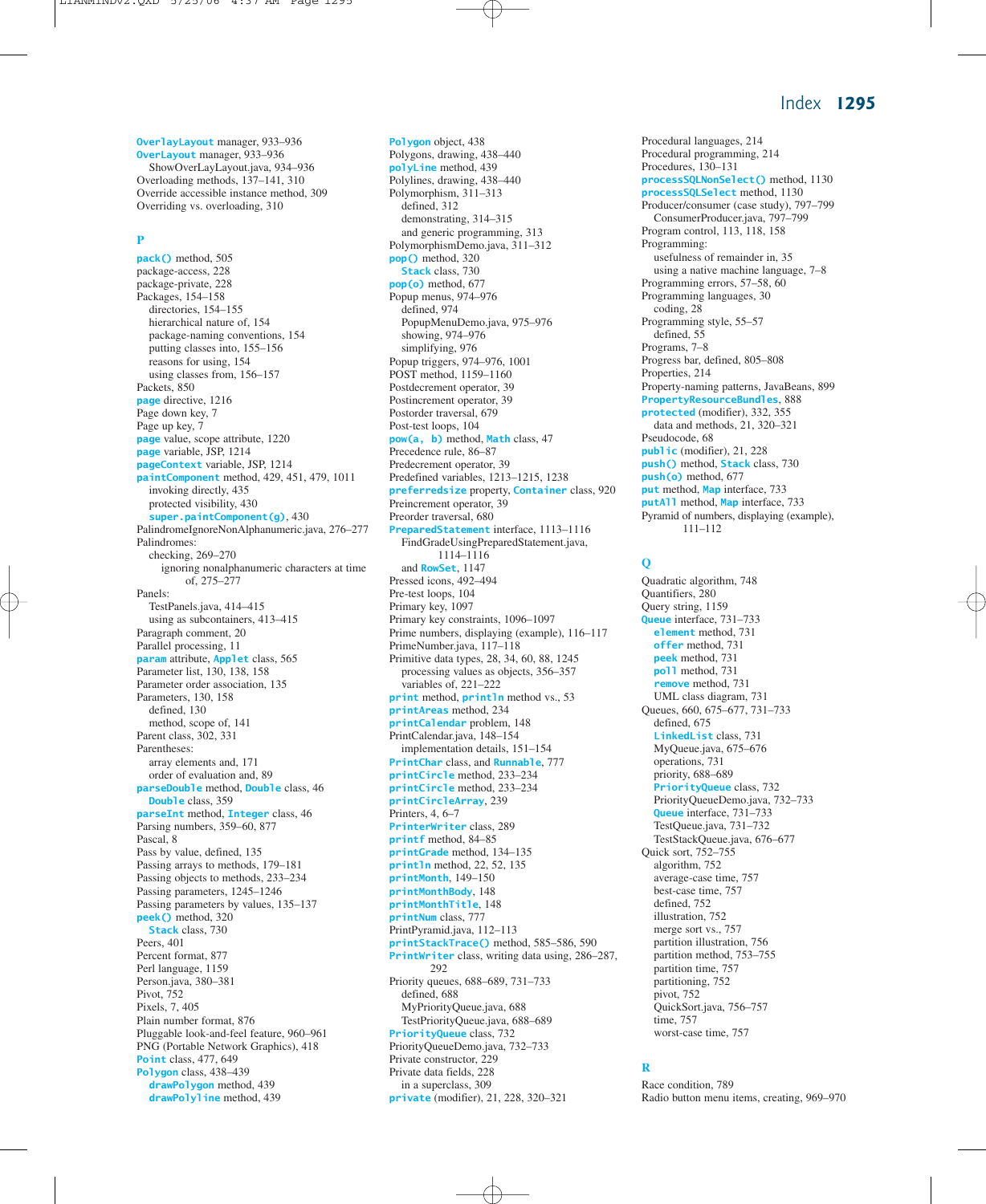**OverlayLayout** manager, 933–936 **OverLayout** manager, 933–936 ShowOverLayLayout.java, 934–936 Overloading methods, 137–141, 310 Override accessible instance method, 309 Overriding vs. overloading, 310

#### **P**

**pack()** method, 505 package-access, 228 package-private, 228 Packages, 154–158 directories, 154–155 hierarchical nature of, 154 package-naming conventions, 154 putting classes into, 155–156 reasons for using, 154 using classes from, 156–157 Packets, 850 **page** directive, 1216 Page down key, 7 Page up key, 7 **page** value, scope attribute, 1220 **page** variable, JSP, 1214 **pageContext** variable, JSP, 1214 **paintComponent** method, 429, 451, 479, 1011 invoking directly, 435 protected visibility, 430 **super.paintComponent(g)**, 430 PalindromeIgnoreNonAlphanumeric.java, 276–277 Palindromes: checking, 269–270 ignoring nonalphanumeric characters at time of, 275–277 Panels: TestPanels.java, 414–415 using as subcontainers, 413–415 Paragraph comment, 20 Parallel processing, 11 **param** attribute, **Applet** class, 565 Parameter list, 130, 138, 158 Parameter order association, 135 Parameters, 130, 158 defined, 130 method, scope of, 141 Parent class, 302, 331 Parentheses: array elements and, 171 order of evaluation and, 89 **parseDouble** method, **Double** class, 46 **Double** class, 359 **parseInt** method, **Integer** class, 46 Parsing numbers, 359–60, 877 Pascal, 8 Pass by value, defined, 135 Passing arrays to methods, 179–181 Passing objects to methods, 233–234 Passing parameters, 1245–1246 Passing parameters by values, 135–137 **peek()** method, 320 **Stack** class, 730 Peers, 401 Percent format, 877 Perl language, 1159 Person.java, 380–381 Pivot, 752 Pixels, 7, 405 Plain number format, 876 Pluggable look-and-feel feature, 960–961 PNG (Portable Network Graphics), 418 **Point** class, 477, 649 **Polygon** class, 438–439 **drawPolygon** method, 439 **drawPolyline** method, 439

Polygons, drawing, 438–440 **polyLine** method, 439 Polylines, drawing, 438–440 Polymorphism, 311–313 defined, 312 demonstrating, 314–315 and generic programming, 313 PolymorphismDemo.java, 311–312 **pop()** method, 320 **Stack** class, 730 **pop(o)** method, 677 Popup menus, 974–976 defined, 974 PopupMenuDemo.java, 975–976 showing, 974–976 simplifying, 976 Popup triggers, 974–976, 1001 POST method, 1159–1160 Postdecrement operator, 39 Postincrement operator, 39 Postorder traversal, 679 Post-test loops, 104 **pow(a, b)** method, **Math** class, 47 Precedence rule, 86–87 Predecrement operator, 39 Predefined variables, 1213–1215, 1238 **preferredsize** property, **Container** class, 920 Preincrement operator, 39 Preorder traversal, 680 **PreparedStatement** interface, 1113–1116 FindGradeUsingPreparedStatement.java, 1114–1116 and **RowSet**, 1147 Pressed icons, 492–494 Pre-test loops, 104 Primary key, 1097 Primary key constraints, 1096–1097 Prime numbers, displaying (example), 116–117 PrimeNumber.java, 117–118 Primitive data types, 28, 34, 60, 88, 1245 processing values as objects, 356–357 variables of, 221–222 **print** method, **println** method vs., 53 **printAreas** method, 234 **printCalendar** problem, 148 PrintCalendar.java, 148–154 implementation details, 151–154 **PrintChar** class, and **Runnable**, 777 **printCircle** method, 233–234 **printCircle** method, 233–234 **printCircleArray**, 239 Printers, 4, 6–7 **PrinterWriter** class, 289 **printf** method, 84–85 **printGrade** method, 134–135 **println** method, 22, 52, 135 **printMonth**, 149–150 **printMonthBody**, 148 **printMonthTitle**, 148 **printNum** class, 777 PrintPyramid.java, 112–113 **printStackTrace()** method, 585–586, 590 **PrintWriter** class, writing data using, 286–287, 292 Priority queues, 688–689, 731–733 defined, 688 MyPriorityQueue.java, 688 TestPriorityQueue.java, 688–689 **PriorityQueue** class, 732 PriorityQueueDemo.java, 732–733 Private constructor, 229 Private data fields, 228 in a superclass, 309

**private** (modifier), 21, 228, 320–321

**Polygon** object, 438

Procedural programming, 214 Procedures, 130–131 **processSQLNonSelect()** method, 1130 **processSQLSelect** method, 1130 Producer/consumer (case study), 797–799 ConsumerProducer.java, 797–799 Program control, 113, 118, 158 Programming: usefulness of remainder in, 35 using a native machine language, 7–8 Programming errors, 57–58, 60 Programming languages, 30 coding, 28 Programming style, 55–57 defined, 55 Programs, 7–8 Progress bar, defined, 805–808 Properties, 214 Property-naming patterns, JavaBeans, 899 **PropertyResourceBundles**, 888 **protected** (modifier), 332, 355 data and methods, 21, 320–321 Pseudocode, 68 **public** (modifier), 21, 228 **push()** method, **Stack** class, 730 **push(o)** method, 677 **put** method, **Map** interface, 733 **putAll** method, **Map** interface, 733 Pyramid of numbers, displaying (example), 111–112

Procedural languages, 214

## **Q**

Quadratic algorithm, 748 Quantifiers, 280 Query string, 1159 **Queue** interface, 731–733 **element** method, 731 **offer** method, 731 **peek** method, 731 **poll** method, 731 **remove** method, 731 UML class diagram, 731 Queues, 660, 675–677, 731–733 defined, 675 **LinkedList** class, 731 MyQueue.java, 675–676 operations, 731 priority, 688–689 **PriorityQueue** class, 732 PriorityQueueDemo.java, 732–733 **Queue** interface, 731–733 TestQueue.java, 731–732 TestStackQueue.java, 676–677 Quick sort, 752–755 algorithm, 752 average-case time, 757 best-case time, 757 defined, 752 illustration, 752 merge sort vs., 757 partition illustration, 756 partition method, 753–755 partition time, 757 partitioning, 752 pivot, 752 QuickSort.java, 756–757 time, 757 worst-case time, 757

#### **R**

Race condition, 789 Radio button menu items, creating, 969–970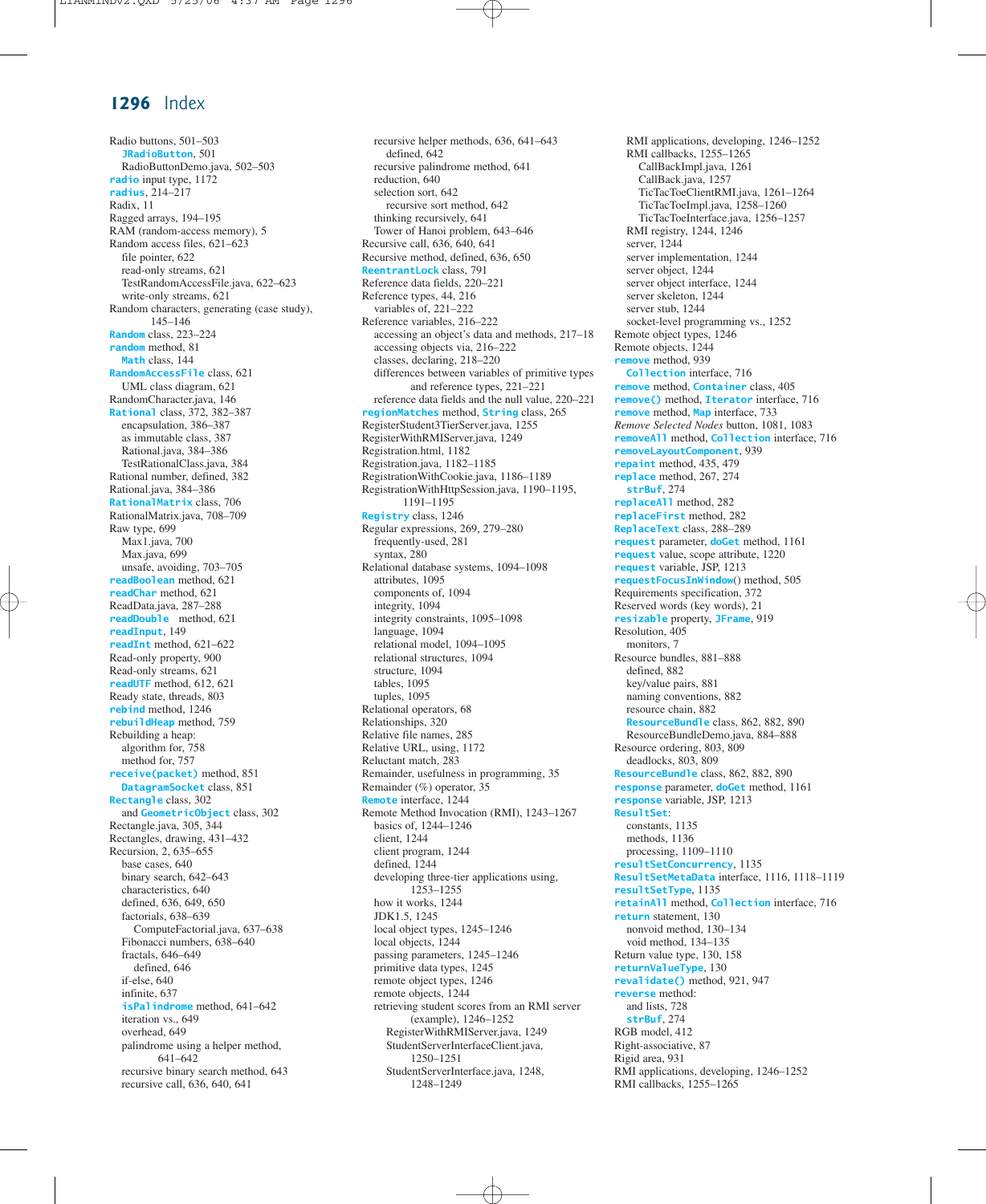Radio buttons, 501–503 **JRadioButton**, 501 RadioButtonDemo.java, 502–503 **radio** input type, 1172 **radius**, 214–217 Radix, 11 Ragged arrays, 194–195 RAM (random-access memory), 5 Random access files, 621–623 file pointer, 622 read-only streams, 621 TestRandomAccessFile.java, 622–623 write-only streams, 621 Random characters, generating (case study), 145–146 **Random** class, 223–224 **random** method, 81 **Math** class, 144 **RandomAccessFile** class, 621 UML class diagram, 621 RandomCharacter.java, 146 **Rational** class, 372, 382–387 encapsulation, 386–387 as immutable class, 387 Rational.java, 384–386 TestRationalClass.java, 384 Rational number, defined, 382 Rational.java, 384–386 **RationalMatrix** class, 706 RationalMatrix.java, 708–709 Raw type, 699 Max1.java, 700 Max.java, 699 unsafe, avoiding, 703–705 **readBoolean** method, 621 **readChar** method, 621 ReadData.java, 287–288 **readDouble** method, 621 **readInput**, 149 **readInt** method, 621–622 Read-only property, 900 Read-only streams, 621 **readUTF** method, 612, 621 Ready state, threads, 803 **rebind** method, 1246 **rebuildHeap** method, 759 Rebuilding a heap: algorithm for, 758 method for, 757 **receive(packet)** method, 851 **DatagramSocket** class, 851 **Rectangle** class, 302 and **GeometricObject** class, 302 Rectangle.java, 305, 344 Rectangles, drawing, 431–432 Recursion, 2, 635–655 base cases, 640 binary search, 642–643 characteristics, 640 defined, 636, 649, 650 factorials, 638–639 ComputeFactorial.java, 637–638 Fibonacci numbers, 638–640 fractals, 646–649 defined, 646 if-else, 640 infinite, 637 **isPalindrome** method, 641–642 iteration vs., 649 overhead, 649 palindrome using a helper method, 641–642 recursive binary search method, 643 recursive call, 636, 640, 641

recursive helper methods, 636, 641–643 defined, 642 recursive palindrome method, 641 reduction, 640 selection sort, 642 recursive sort method, 642 thinking recursively, 641 Tower of Hanoi problem, 643–646 Recursive call, 636, 640, 641 Recursive method, defined, 636, 650 **ReentrantLock** class, 791 Reference data fields, 220–221 Reference types, 44, 216 variables of, 221–222 Reference variables, 216–222 accessing an object's data and methods, 217–18 accessing objects via, 216–222 classes, declaring, 218–220 differences between variables of primitive types and reference types, 221–221 reference data fields and the null value, 220–221 **regionMatches** method, **String** class, 265 RegisterStudent3TierServer.java, 1255 RegisterWithRMIServer.java, 1249 Registration.html, 1182 Registration.java, 1182–1185 RegistrationWithCookie.java, 1186–1189 RegistrationWithHttpSession.java, 1190–1195, 1191–1195 **Registry** class, 1246 Regular expressions, 269, 279–280 frequently-used, 281 syntax, 280 Relational database systems, 1094–1098 attributes, 1095 components of, 1094 integrity, 1094 integrity constraints, 1095–1098 language, 1094 relational model, 1094–1095 relational structures, 1094 structure, 1094 tables, 1095 tuples, 1095 Relational operators, 68 Relationships, 320 Relative file names, 285 Relative URL, using, 1172 Reluctant match, 283 Remainder, usefulness in programming, 35 Remainder (%) operator, 35 **Remote** interface, 1244 Remote Method Invocation (RMI), 1243–1267 basics of, 1244–1246 client, 1244 client program, 1244 defined, 1244 developing three-tier applications using, 1253–1255 how it works, 1244 JDK1.5, 1245 local object types, 1245–1246 local objects, 1244 passing parameters, 1245–1246 primitive data types, 1245 remote object types, 1246 remote objects, 1244 retrieving student scores from an RMI server (example), 1246–1252 RegisterWithRMIServer.java, 1249 StudentServerInterfaceClient.java, 1250–1251 StudentServerInterface.java, 1248, 1248–1249

RMI applications, developing, 1246–1252 RMI callbacks, 1255–1265 CallBackImpl.java, 1261 CallBack.java, 1257 TicTacToeClientRMI.java, 1261–1264 TicTacToeImpl.java, 1258–1260 TicTacToeInterface.java, 1256–1257 RMI registry, 1244, 1246 server, 1244 server implementation, 1244 server object, 1244 server object interface, 1244 server skeleton, 1244 server stub, 1244 socket-level programming vs., 1252 Remote object types, 1246 Remote objects, 1244 **remove** method, 939 **Collection** interface, 716 **remove** method, **Container** class, 405 **remove()** method, **Iterator** interface, 716 **remove** method, **Map** interface, 733 *Remove Selected Nodes* button, 1081, 1083 **removeAll** method, **Collection** interface, 716 **removeLayoutComponent**, 939 **repaint** method, 435, 479 **replace** method, 267, 274 **strBuf**, 274 **replaceAll** method, 282 **replaceFirst** method, 282 **ReplaceText** class, 288–289 **request** parameter, **doGet** method, 1161 **request** value, scope attribute, 1220 **request** variable, JSP, 1213 **requestFocusInWindow**() method, 505 Requirements specification, 372 Reserved words (key words), 21 **resizable** property, **JFrame**, 919 Resolution, 405 monitors, 7 Resource bundles, 881–888 defined, 882 key/value pairs, 881 naming conventions, 882 resource chain, 882 **ResourceBundle** class, 862, 882, 890 ResourceBundleDemo.java, 884–888 Resource ordering, 803, 809 deadlocks, 803, 809 **ResourceBundle** class, 862, 882, 890 **response** parameter, **doGet** method, 1161 **response** variable, JSP, 1213 **ResultSet**: constants, 1135 methods, 1136 processing, 1109–1110 **resultSetConcurrency**, 1135 **ResultSetMetaData** interface, 1116, 1118–1119 **resultSetType**, 1135 **retainAll** method, **Collection** interface, 716 **return** statement, 130 nonvoid method, 130–134 void method, 134–135 Return value type, 130, 158 **returnValueType**, 130 **revalidate()** method, 921, 947 **reverse** method: and lists, 728 **strBuf**, 274 RGB model, 412 Right-associative, 87 Rigid area, 931 RMI applications, developing, 1246–1252 RMI callbacks, 1255–1265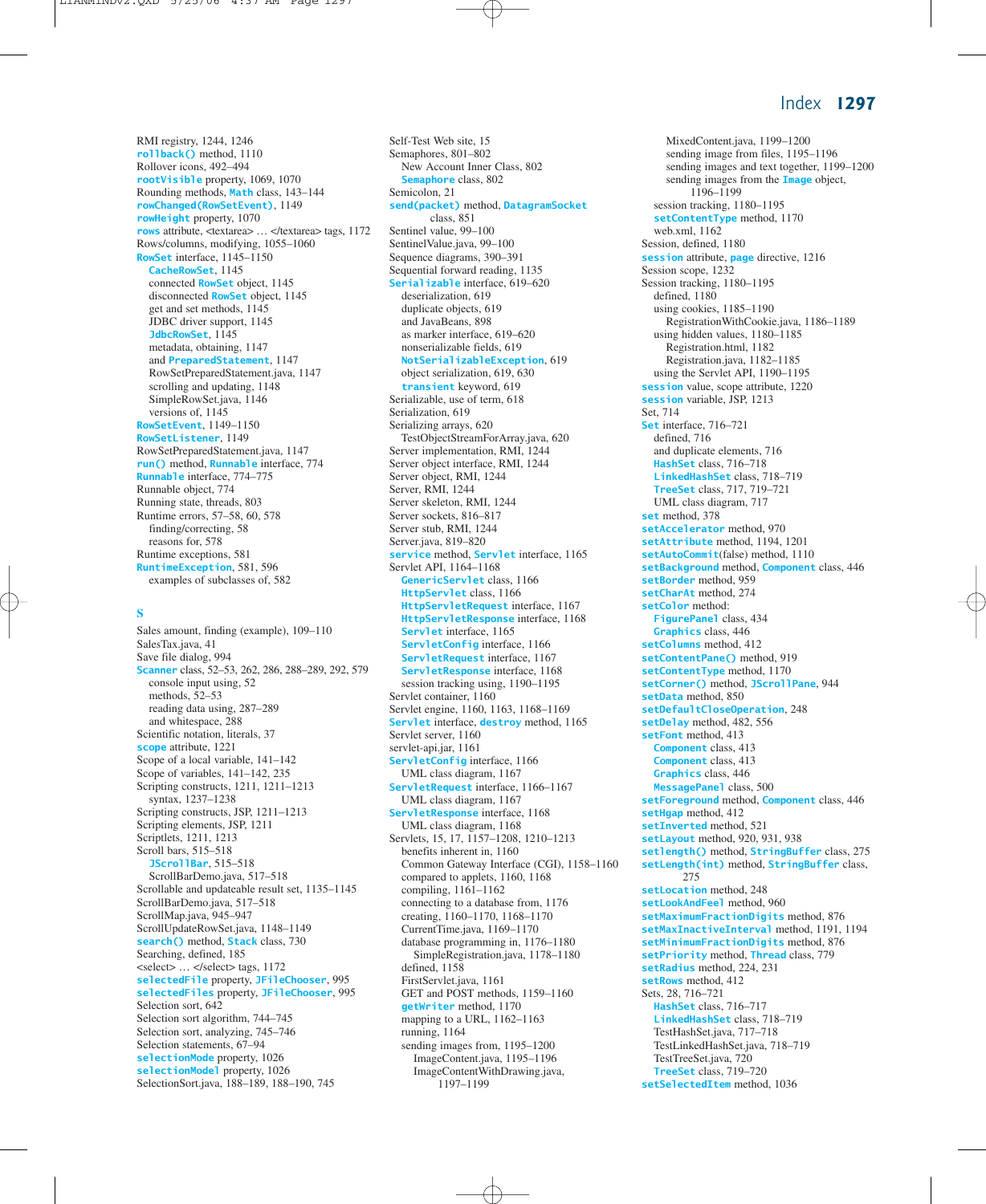RMI registry, 1244, 1246 **rollback()** method, 1110 Rollover icons, 492–494 **rootVisible** property, 1069, 1070 Rounding methods, **Math** class, 143–144 **rowChanged(RowSetEvent)**, 1149 **rowHeight** property, 1070 **rows** attribute, <textarea> … </textarea> tags, 1172 Rows/columns, modifying, 1055–1060 **RowSet** interface, 1145–1150 **CacheRowSet**, 1145 connected **RowSet** object, 1145 disconnected **RowSet** object, 1145 get and set methods, 1145 JDBC driver support, 1145 **JdbcRowSet**, 1145 metadata, obtaining, 1147 and **PreparedStatement**, 1147 RowSetPreparedStatement.java, 1147 scrolling and updating, 1148 SimpleRowSet.java, 1146 versions of, 1145 **RowSetEvent**, 1149–1150 **RowSetListener**, 1149 RowSetPreparedStatement.java, 1147 **run()** method, **Runnable** interface, 774 **Runnable** interface, 774–775 Runnable object, 774 Running state, threads, 803 Runtime errors, 57–58, 60, 578 finding/correcting, 58 reasons for, 578 Runtime exceptions, 581 **RuntimeException**, 581, 596 examples of subclasses of, 582

#### **S**

Sales amount, finding (example), 109–110 SalesTax.java, 41 Save file dialog, 994 **Scanner** class, 52–53, 262, 286, 288–289, 292, 579 console input using, 52 methods, 52–53 reading data using, 287–289 and whitespace, 288 Scientific notation, literals, 37 **scope** attribute, 1221 Scope of a local variable, 141–142 Scope of variables, 141–142, 235 Scripting constructs, 1211, 1211–1213 syntax, 1237–1238 Scripting constructs, JSP, 1211–1213 Scripting elements, JSP, 1211 Scriptlets, 1211, 1213 Scroll bars, 515–518 **JScrollBar**, 515–518 ScrollBarDemo.java, 517–518 Scrollable and updateable result set, 1135–1145 ScrollBarDemo.java, 517–518 ScrollMap.java, 945–947 ScrollUpdateRowSet.java, 1148–1149 **search()** method, **Stack** class, 730 Searching, defined, 185 <select> … </select> tags, 1172 **selectedFile** property, **JFileChooser**, 995 **selectedFiles** property, **JFileChooser**, 995 Selection sort, 642 Selection sort algorithm, 744–745 Selection sort, analyzing, 745–746 Selection statements, 67-94 **selectionMode** property, 1026 **selectionModel** property, 1026 SelectionSort.java, 188–189, 188–190, 745

Self-Test Web site, 15 Semaphores, 801–802 New Account Inner Class, 802 **Semaphore** class, 802 Semicolon, 21 **send(packet)** method, **DatagramSocket** class, 851 Sentinel value, 99–100 SentinelValue.java, 99–100 Sequence diagrams, 390–391 Sequential forward reading, 1135 **Serializable** interface, 619–620 deserialization, 619 duplicate objects, 619 and JavaBeans, 898 as marker interface, 619–620 nonserializable fields, 619 **NotSerializableException**, 619 object serialization, 619, 630 **transient** keyword, 619 Serializable, use of term, 618 Serialization, 619 Serializing arrays, 620 TestObjectStreamForArray.java, 620 Server implementation, RMI, 1244 Server object interface, RMI, 1244 Server object, RMI, 1244 Server, RMI, 1244 Server skeleton, RMI, 1244 Server sockets, 816–817 Server stub, RMI, 1244 Server.java, 819–820 **service** method, **Servlet** interface, 1165 Servlet API, 1164–1168 **GenericServlet** class, 1166 **HttpServlet** class, 1166 **HttpServletRequest** interface, 1167 **HttpServletResponse** interface, 1168 **Servlet** interface, 1165 **ServletConfig** interface, 1166 **ServletRequest** interface, 1167 **ServletResponse** interface, 1168 session tracking using, 1190–1195 Servlet container, 1160 Servlet engine, 1160, 1163, 1168–1169 **Servlet** interface, **destroy** method, 1165 Servlet server, 1160 servlet-api.jar, 1161 **ServletConfig** interface, 1166 UML class diagram, 1167 **ServletRequest** interface, 1166–1167 UML class diagram, 1167 **ServletResponse** interface, 1168 UML class diagram, 1168 Servlets, 15, 17, 1157–1208, 1210–1213 benefits inherent in, 1160 Common Gateway Interface (CGI), 1158–1160 compared to applets, 1160, 1168 compiling, 1161–1162 connecting to a database from, 1176 creating, 1160–1170, 1168–1170 CurrentTime.java, 1169–1170 database programming in, 1176–1180 SimpleRegistration.java, 1178–1180 defined, 1158 FirstServlet.java, 1161 GET and POST methods, 1159–1160 **getWriter** method, 1170 mapping to a URL, 1162–1163 running, 1164 sending images from, 1195–1200 ImageContent.java, 1195–1196 ImageContentWithDrawing.java, 1197–1199

MixedContent.java, 1199–1200 sending image from files, 1195–1196 sending images and text together, 1199–1200 sending images from the **Image** object, 1196–1199 session tracking, 1180–1195 **setContentType** method, 1170 web.xml, 1162 Session, defined, 1180 **session** attribute, **page** directive, 1216 Session scope, 1232 Session tracking, 1180–1195 defined, 1180 using cookies, 1185–1190 RegistrationWithCookie.java, 1186–1189 using hidden values, 1180–1185 Registration.html, 1182 Registration.java, 1182–1185 using the Servlet API, 1190–1195 **session** value, scope attribute, 1220 **session** variable, JSP, 1213 Set, 714 **Set** interface, 716–721 defined, 716 and duplicate elements, 716 **HashSet** class, 716–718 **LinkedHashSet** class, 718–719 **TreeSet** class, 717, 719–721 UML class diagram, 717 **set** method, 378 **setAccelerator** method, 970 **setAttribute** method, 1194, 1201 **setAutoCommit**(false) method, 1110 **setBackground** method, **Component** class, 446 **setBorder** method, 959 **setCharAt** method, 274 **setColor** method: **FigurePanel** class, 434 **Graphics** class, 446 **setColumns** method, 412 **setContentPane()** method, 919 **setContentType** method, 1170 **setCorner()** method, **JScrollPane**, 944 **setData** method, 850 **setDefaultCloseOperation**, 248 **setDelay** method, 482, 556 **setFont** method, 413 **Component** class, 413 **Component** class, 413 **Graphics** class, 446 **MessagePanel** class, 500 **setForeground** method, **Component** class, 446 **setHgap** method, 412 **setInverted** method, 521 **setLayout** method, 920, 931, 938 **setlength()** method, **StringBuffer** class, 275 **setLength(int)** method, **StringBuffer** class, 275 **setLocation** method, 248 **setLookAndFeel** method, 960 **setMaximumFractionDigits** method, 876 **setMaxInactiveInterval** method, 1191, 1194 **setMinimumFractionDigits** method, 876 **setPriority** method, **Thread** class, 779 **setRadius** method, 224, 231 **setRows** method, 412 Sets, 28, 716–721 **HashSet** class, 716–717 **LinkedHashSet** class, 718–719 TestHashSet.java, 717–718 TestLinkedHashSet.java, 718–719 TestTreeSet.java, 720 **TreeSet** class, 719–720 **setSelectedItem** method, 1036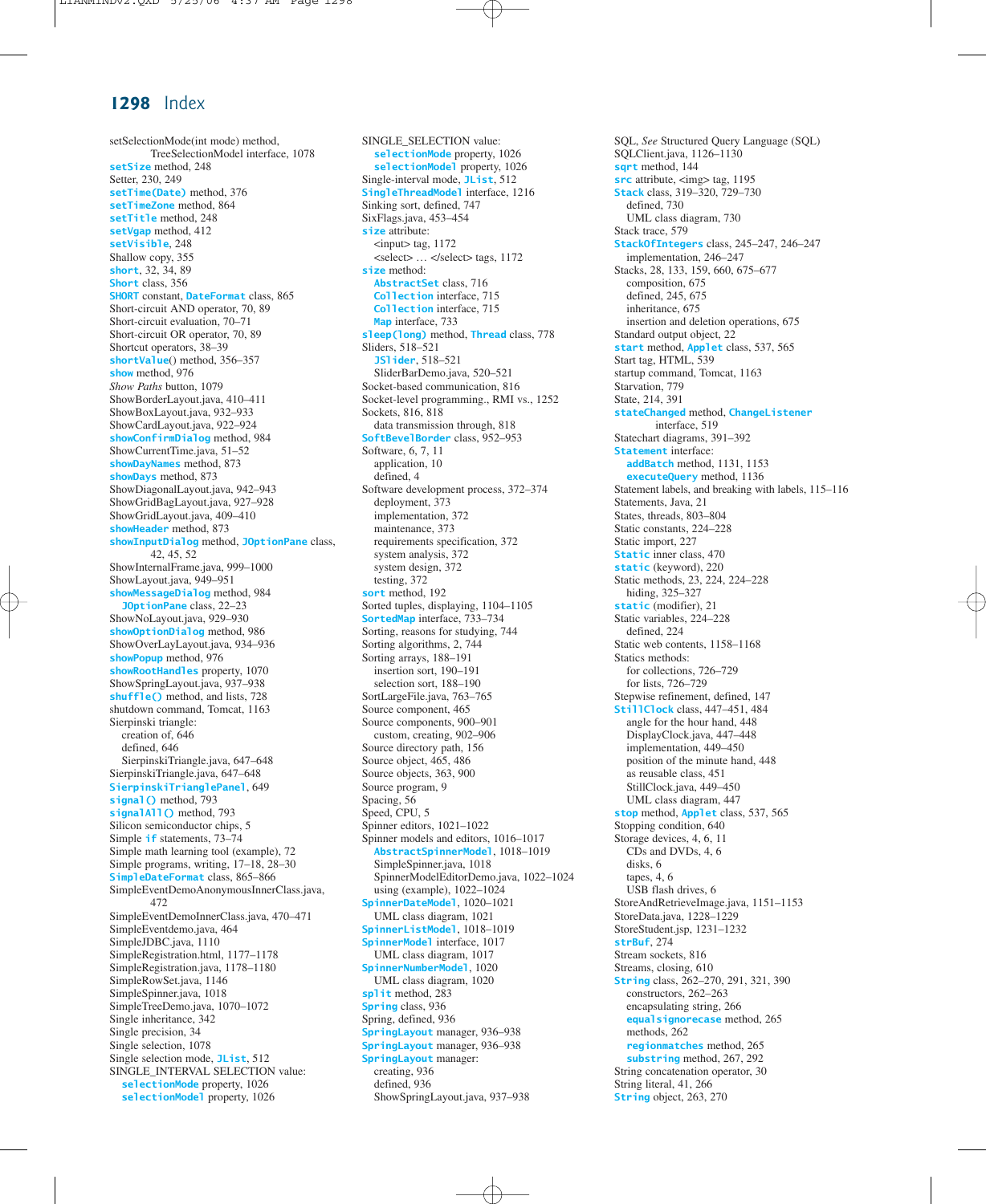setSelectionMode(int mode) method, TreeSelectionModel interface, 1078 **setSize** method, 248 Setter, 230, 249 **setTime(Date)** method, 376 **setTimeZone** method, 864 **setTitle** method, 248 **setVgap** method, 412 **setVisible**, 248 Shallow copy, 355 **short**, 32, 34, 89 **Short** class, 356 **SHORT** constant, **DateFormat** class, 865 Short-circuit AND operator, 70, 89 Short-circuit evaluation, 70–71 Short-circuit OR operator, 70, 89 Shortcut operators, 38–39 **shortValue**() method, 356–357 **show** method, 976 *Show Paths* button, 1079 ShowBorderLayout.java, 410–411 ShowBoxLayout.java, 932–933 ShowCardLayout.java, 922–924 **showConfirmDialog** method, 984 ShowCurrentTime.java, 51–52 **showDayNames** method, 873 **showDays** method, 873 ShowDiagonalLayout.java, 942–943 ShowGridBagLayout.java, 927–928 ShowGridLayout.java, 409–410 **showHeader** method, 873 **showInputDialog** method, **JOptionPane** class, 42, 45, 52 ShowInternalFrame.java, 999–1000 ShowLayout.java, 949–951 **showMessageDialog** method, 984 **JOptionPane** class, 22–23 ShowNoLayout.java, 929–930 **showOptionDialog** method, 986 ShowOverLayLayout.java, 934–936 **showPopup** method, 976 **showRootHandles** property, 1070 ShowSpringLayout.java, 937–938 **shuffle()** method, and lists, 728 shutdown command, Tomcat, 1163 Sierpinski triangle: creation of, 646 defined, 646 SierpinskiTriangle.java, 647–648 SierpinskiTriangle.java, 647–648 **SierpinskiTrianglePanel**, 649 **signal()** method, 793 **signalAll()** method, 793 Silicon semiconductor chips, 5 Simple **if** statements, 73–74 Simple math learning tool (example), 72 Simple programs, writing, 17–18, 28–30 **SimpleDateFormat** class, 865–866 SimpleEventDemoAnonymousInnerClass.java, 472 SimpleEventDemoInnerClass.java, 470–471 SimpleEventdemo.java, 464 SimpleJDBC.java, 1110 SimpleRegistration.html, 1177–1178 SimpleRegistration.java, 1178–1180 SimpleRowSet.java, 1146 SimpleSpinner.java, 1018 SimpleTreeDemo.java, 1070–1072 Single inheritance, 342 Single precision, 34 Single selection, 1078 Single selection mode, **JList**, 512 SINGLE\_INTERVAL SELECTION value: **selectionMode** property, 1026 **selectionModel** property, 1026

SINGLE\_SELECTION value: **selectionMode** property, 1026 **selectionModel** property, 1026 Single-interval mode, **JList**, 512 **SingleThreadModel** interface, 1216 Sinking sort, defined, 747 SixFlags.java, 453–454 **size** attribute:  $<$ input $>$  tag, 1172 <select> … </select> tags, 1172 **size** method: **AbstractSet** class, 716 **Collection** interface, 715 **Collection** interface, 715 **Map** interface, 733 **sleep(long)** method, **Thread** class, 778 Sliders, 518–521 **JSlider**, 518–521 SliderBarDemo.java, 520–521 Socket-based communication, 816 Socket-level programming., RMI vs., 1252 Sockets, 816, 818 data transmission through, 818 **SoftBevelBorder** class, 952–953 Software, 6, 7, 11 application, 10 defined, 4 Software development process, 372–374 deployment, 373 implementation, 372 maintenance, 373 requirements specification, 372 system analysis, 372 system design, 372 testing, 372 **sort** method, 192 Sorted tuples, displaying, 1104–1105 **SortedMap** interface, 733–734 Sorting, reasons for studying, 744 Sorting algorithms, 2, 744 Sorting arrays, 188–191 insertion sort, 190–191 selection sort, 188–190 SortLargeFile.java, 763–765 Source component, 465 Source components, 900–901 custom, creating, 902–906 Source directory path, 156 Source object, 465, 486 Source objects, 363, 900 Source program, 9 Spacing, 56 Speed, CPU, 5 Spinner editors, 1021–1022 Spinner models and editors, 1016–1017 **AbstractSpinnerModel**, 1018–1019 SimpleSpinner.java, 1018 SpinnerModelEditorDemo.java, 1022–1024 using (example), 1022–1024 **SpinnerDateModel**, 1020–1021 UML class diagram, 1021 **SpinnerListModel**, 1018–1019 **SpinnerModel** interface, 1017 UML class diagram, 1017 **SpinnerNumberModel**, 1020 UML class diagram, 1020 **split** method, 283 **Spring** class, 936 Spring, defined, 936 **SpringLayout** manager, 936–938 **SpringLayout** manager, 936–938 **SpringLayout** manager: creating, 936 defined, 936 ShowSpringLayout.java, 937–938

SQL, *See* Structured Query Language (SQL) SQLClient.java, 1126–1130 **sqrt** method, 144 **src** attribute, <img> tag, 1195 **Stack** class, 319–320, 729–730 defined, 730 UML class diagram, 730 Stack trace, 579 **StackOfIntegers** class, 245–247, 246–247 implementation, 246–247 Stacks, 28, 133, 159, 660, 675–677 composition, 675 defined, 245, 675 inheritance, 675 insertion and deletion operations, 675 Standard output object, 22 **start** method, **Applet** class, 537, 565 Start tag, HTML, 539 startup command, Tomcat, 1163 Starvation, 779 State, 214, 391 **stateChanged** method, **ChangeListener** interface, 519 Statechart diagrams, 391–392 **Statement** interface: **addBatch** method, 1131, 1153 **executeQuery** method, 1136 Statement labels, and breaking with labels, 115–116 Statements, Java, 21 States, threads, 803–804 Static constants, 224–228 Static import, 227 **Static** inner class, 470 **static** (keyword), 220 Static methods, 23, 224, 224–228 hiding, 325–327 **static** (modifier), 21 Static variables, 224–228 defined, 224 Static web contents, 1158–1168 Statics methods: for collections, 726–729 for lists, 726–729 Stepwise refinement, defined, 147 **StillClock** class, 447–451, 484 angle for the hour hand, 448 DisplayClock.java, 447–448 implementation, 449–450 position of the minute hand, 448 as reusable class, 451 StillClock.java, 449–450 UML class diagram, 447 **stop** method, **Applet** class, 537, 565 Stopping condition, 640 Storage devices, 4, 6, 11 CDs and DVDs, 4, 6 disks, 6 tapes, 4, 6 USB flash drives, 6 StoreAndRetrieveImage.java, 1151–1153 StoreData.java, 1228–1229 StoreStudent.jsp, 1231–1232 **strBuf**, 274 Stream sockets, 816 Streams, closing, 610 **String** class, 262–270, 291, 321, 390 constructors, 262–263 encapsulating string, 266 **equalsignorecase** method, 265 methods, 262 **regionmatches** method, 265 **substring** method, 267, 292 String concatenation operator, 30 String literal, 41, 266 **String** object, 263, 270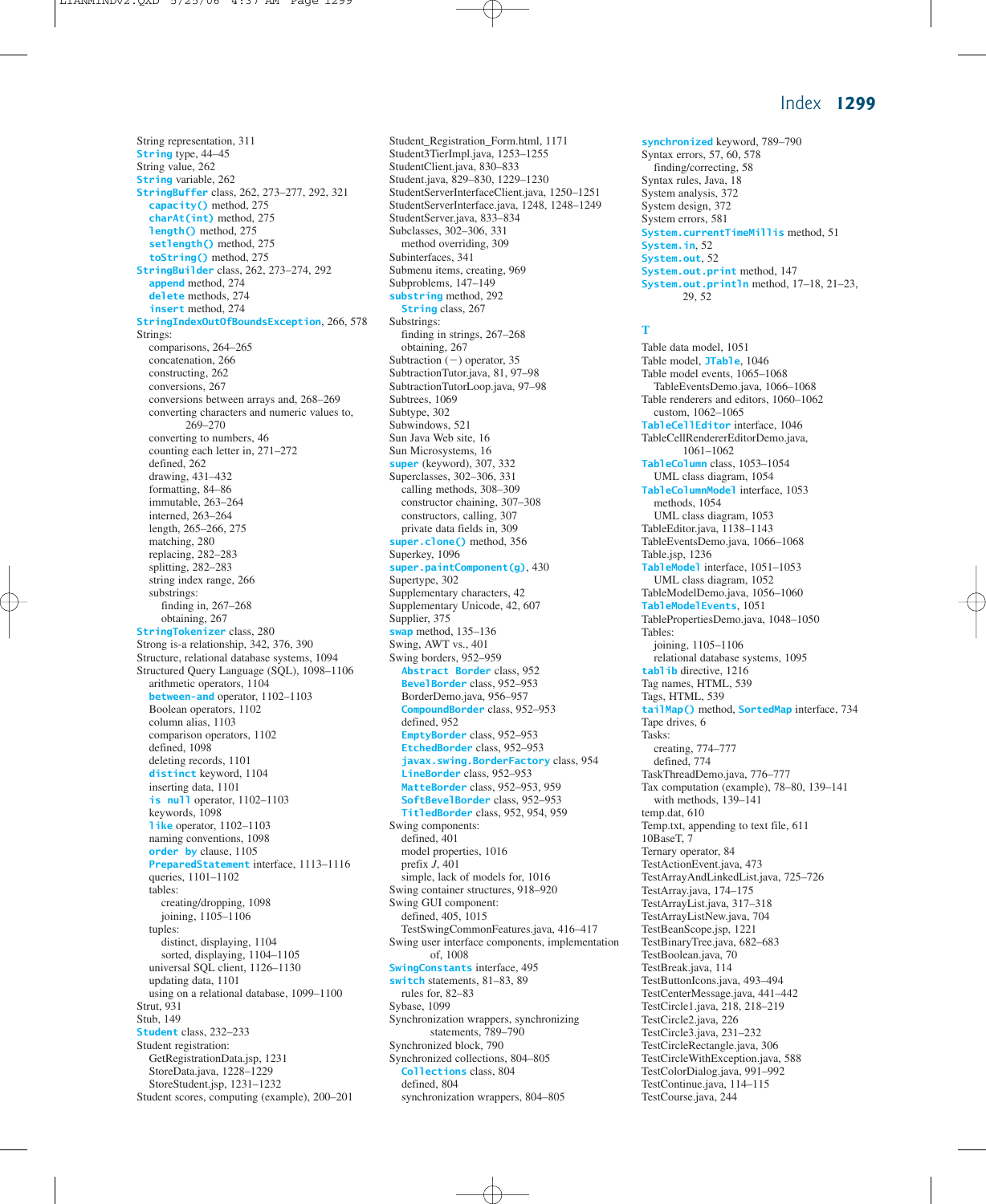String representation, 311 **String** type, 44–45 String value, 262 **String** variable, 262 **StringBuffer** class, 262, 273–277, 292, 321 **capacity()** method, 275 **charAt(int)** method, 275 **length()** method, 275 **setlength()** method, 275 **toString()** method, 275 **StringBuilder** class, 262, 273–274, 292 **append** method, 274 **delete** methods, 274 **insert** method, 274 **StringIndexOutOfBoundsException**, 266, 578 Strings: comparisons, 264–265 concatenation, 266 constructing, 262 conversions, 267 conversions between arrays and, 268–269 converting characters and numeric values to, 269–270 converting to numbers, 46 counting each letter in, 271–272 defined, 262 drawing, 431–432 formatting, 84–86 immutable, 263–264 interned, 263–264 length, 265–266, 275 matching, 280 replacing, 282–283 splitting, 282–283 string index range, 266 substrings: finding in, 267–268 obtaining, 267 **StringTokenizer** class, 280 Strong is-a relationship, 342, 376, 390 Structure, relational database systems, 1094 Structured Query Language (SQL), 1098–1106 arithmetic operators, 1104 **between-and** operator, 1102–1103 Boolean operators, 1102 column alias, 1103 comparison operators, 1102 defined, 1098 deleting records, 1101 **distinct** keyword, 1104 inserting data, 1101 **is null** operator, 1102–1103 keywords, 1098 **like** operator, 1102–1103 naming conventions, 1098 **order by** clause, 1105 **PreparedStatement** interface, 1113–1116 queries, 1101–1102 tables: creating/dropping, 1098 joining, 1105–1106 tuples: distinct, displaying, 1104 sorted, displaying, 1104–1105 universal SQL client, 1126–1130 updating data, 1101 using on a relational database, 1099–1100 Strut, 931 Stub, 149 **Student** class, 232–233 Student registration: GetRegistrationData.jsp, 1231 StoreData.java, 1228–1229 StoreStudent.jsp, 1231–1232 Student scores, computing (example), 200–201

Student\_Registration\_Form.html, 1171 Student3TierImpl.java, 1253–1255 StudentClient.java, 830–833 Student.java, 829–830, 1229–1230 StudentServerInterfaceClient.java, 1250–1251 StudentServerInterface.java, 1248, 1248–1249 StudentServer.java, 833–834 Subclasses, 302–306, 331 method overriding, 309 Subinterfaces, 341 Submenu items, creating, 969 Subproblems, 147–149 **substring** method, 292 **String** class, 267 Substrings: finding in strings, 267–268 obtaining, 267 Subtraction  $(-)$  operator, 35 SubtractionTutor.java, 81, 97–98 SubtractionTutorLoop.java, 97–98 Subtrees, 1069 Subtype, 302 Subwindows, 521 Sun Java Web site, 16 Sun Microsystems, 16 **super** (keyword), 307, 332 Superclasses, 302–306, 331 calling methods, 308–309 constructor chaining, 307–308 constructors, calling, 307 private data fields in, 309 **super.clone()** method, 356 Superkey, 1096 **super.paintComponent(g)**, 430 Supertype, 302 Supplementary characters, 42 Supplementary Unicode, 42, 607 Supplier, 375 **swap** method, 135–136 Swing, AWT vs., 401 Swing borders, 952–959 **Abstract Border** class, 952 **BevelBorder** class, 952–953 BorderDemo.java, 956–957 **CompoundBorder** class, 952–953 defined, 952 **EmptyBorder** class, 952–953 **EtchedBorder** class, 952–953 **javax.swing.BorderFactory** class, 954 **LineBorder** class, 952–953 **MatteBorder** class, 952–953, 959 **SoftBevelBorder** class, 952–953 **TitledBorder** class, 952, 954, 959 Swing components: defined, 401 model properties, 1016 prefix *J*, 401 simple, lack of models for, 1016 Swing container structures, 918–920 Swing GUI component: defined, 405, 1015 TestSwingCommonFeatures.java, 416–417 Swing user interface components, implementation of, 1008 **SwingConstants** interface, 495 **switch** statements, 81–83, 89 rules for, 82–83 Sybase, 1099 Synchronization wrappers, synchronizing statements, 789–790 Synchronized block, 790 Synchronized collections, 804–805 **Collections** class, 804 defined, 804 synchronization wrappers, 804–805

**synchronized** keyword, 789–790 Syntax errors, 57, 60, 578 finding/correcting, 58 Syntax rules, Java, 18 System analysis, 372 System design, 372 System errors, 581 **System.currentTimeMillis** method, 51 **System.in**, 52 **System.out**, 52 **System.out.print** method, 147 **System.out.println** method, 17–18, 21–23, 29, 52

#### **T**

Table data model, 1051 Table model, **JTable**, 1046 Table model events, 1065–1068 TableEventsDemo.java, 1066–1068 Table renderers and editors, 1060–1062 custom, 1062–1065 **TableCellEditor** interface, 1046 TableCellRendererEditorDemo.java, 1061–1062 **TableColumn** class, 1053–1054 UML class diagram, 1054 **TableColumnModel** interface, 1053 methods, 1054 UML class diagram, 1053 TableEditor.java, 1138–1143 TableEventsDemo.java, 1066–1068 Table.jsp, 1236 **TableModel** interface, 1051–1053 UML class diagram, 1052 TableModelDemo.java, 1056–1060 **TableModelEvents**, 1051 TablePropertiesDemo.java, 1048–1050 Tables: joining, 1105–1106 relational database systems, 1095 **tablib** directive, 1216 Tag names, HTML, 539 Tags, HTML, 539 **tailMap()** method, **SortedMap** interface, 734 Tape drives, 6 Tasks: creating, 774–777 defined, 774 TaskThreadDemo.java, 776–777 Tax computation (example), 78–80, 139–141 with methods, 139–141 temp.dat, 610 Temp.txt, appending to text file, 611 10BaseT, 7 Ternary operator, 84 TestActionEvent.java, 473 TestArrayAndLinkedList.java, 725–726 TestArray.java, 174–175 TestArrayList.java, 317–318 TestArrayListNew.java, 704 TestBeanScope.jsp, 1221 TestBinaryTree.java, 682–683 TestBoolean.java, 70 TestBreak.java, 114 TestButtonIcons.java, 493–494 TestCenterMessage.java, 441–442 TestCircle1.java, 218, 218–219 TestCircle2.java, 226 TestCircle3.java, 231–232 TestCircleRectangle.java, 306 TestCircleWithException.java, 588 TestColorDialog.java, 991–992 TestContinue.java, 114–115 TestCourse.java, 244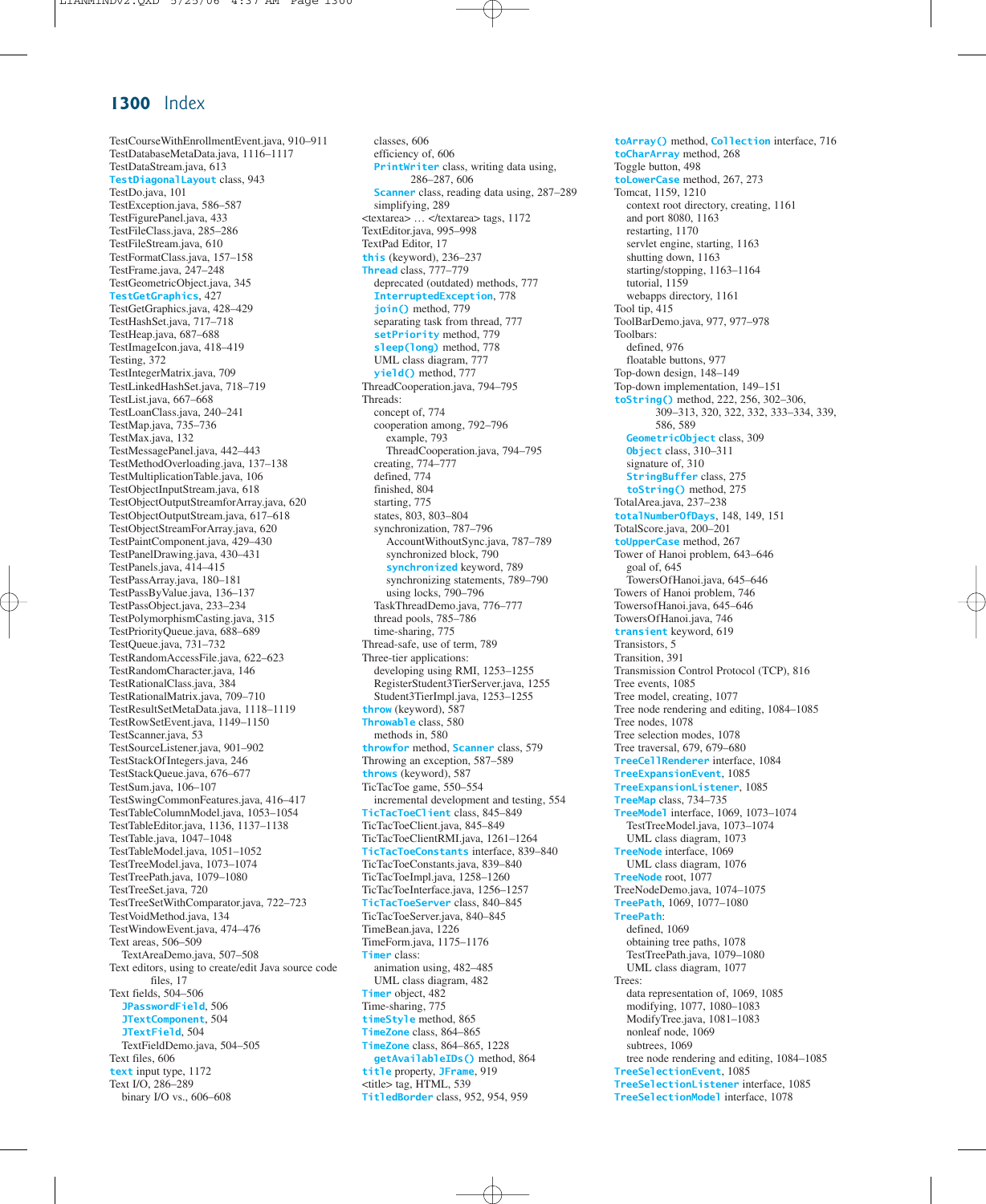TestCourseWithEnrollmentEvent.java, 910–911 TestDatabaseMetaData.java, 1116–1117 TestDataStream.java, 613 **TestDiagonalLayout** class, 943 TestDo.java, 101 TestException.java, 586–587 TestFigurePanel.java, 433 TestFileClass.java, 285–286 TestFileStream.java, 610 TestFormatClass.java, 157–158 TestFrame.java, 247–248 TestGeometricObject.java, 345 **TestGetGraphics**, 427 TestGetGraphics.java, 428–429 TestHashSet.java, 717–718 TestHeap.java, 687–688 TestImageIcon.java, 418–419 Testing, 372 TestIntegerMatrix.java, 709 TestLinkedHashSet.java, 718–719 TestList.java, 667–668 TestLoanClass.java, 240–241 TestMap.java, 735–736 TestMax.java, 132 TestMessagePanel.java, 442–443 TestMethodOverloading.java, 137–138 TestMultiplicationTable.java, 106 TestObjectInputStream.java, 618 TestObjectOutputStreamforArray.java, 620 TestObjectOutputStream.java, 617–618 TestObjectStreamForArray.java, 620 TestPaintComponent.java, 429–430 TestPanelDrawing.java, 430–431 TestPanels.java, 414–415 TestPassArray.java, 180–181 TestPassByValue.java, 136–137 TestPassObject.java, 233–234 TestPolymorphismCasting.java, 315 TestPriorityQueue.java, 688–689 TestQueue.java, 731–732 TestRandomAccessFile.java, 622–623 TestRandomCharacter.java, 146 TestRationalClass.java, 384 TestRationalMatrix.java, 709–710 TestResultSetMetaData.java, 1118–1119 TestRowSetEvent.java, 1149–1150 TestScanner.java, 53 TestSourceListener.java, 901–902 TestStackOfIntegers.java, 246 TestStackQueue.java, 676–677 TestSum.java, 106–107 TestSwingCommonFeatures.java, 416–417 TestTableColumnModel.java, 1053–1054 TestTableEditor.java, 1136, 1137–1138 TestTable.java, 1047–1048 TestTableModel.java, 1051–1052 TestTreeModel.java, 1073–1074 TestTreePath.java, 1079–1080 TestTreeSet.java, 720 TestTreeSetWithComparator.java, 722–723 TestVoidMethod.java, 134 TestWindowEvent.java, 474–476 Text areas, 506–509 TextAreaDemo.java, 507–508 Text editors, using to create/edit Java source code files, 17 Text fields, 504–506 **JPasswordField**, 506 **JTextComponent**, 504 **JTextField**, 504 TextFieldDemo.java, 504–505 Text files, 606 **text** input type, 1172 Text I/O, 286–289 binary I/O vs., 606–608

classes, 606 efficiency of, 606 **PrintWriter** class, writing data using, 286–287, 606 **Scanner** class, reading data using, 287–289 simplifying, 289 <textarea> … </textarea> tags, 1172 TextEditor.java, 995–998 TextPad Editor, 17 **this** (keyword), 236–237 **Thread** class, 777–779 deprecated (outdated) methods, 777 **InterruptedException**, 778 **join()** method, 779 separating task from thread, 777 **setPriority** method, 779 **sleep(long)** method, 778 UML class diagram, 777 **yield()** method, 777 ThreadCooperation.java, 794–795 Threads: concept of, 774 cooperation among, 792–796 example, 793 ThreadCooperation.java, 794–795 creating, 774–777 defined, 774 finished, 804 starting, 775 states, 803, 803–804 synchronization, 787–796 AccountWithoutSync.java, 787–789 synchronized block, 790 **synchronized** keyword, 789 synchronizing statements, 789–790 using locks, 790–796 TaskThreadDemo.java, 776–777 thread pools, 785–786 time-sharing, 775 Thread-safe, use of term, 789 Three-tier applications: developing using RMI, 1253–1255 RegisterStudent3TierServer.java, 1255 Student3TierImpl.java, 1253–1255 **throw** (keyword), 587 **Throwable** class, 580 methods in, 580 **throwfor** method, **Scanner** class, 579 Throwing an exception, 587–589 **throws** (keyword), 587 TicTacToe game, 550–554 incremental development and testing, 554 **TicTacToeClient** class, 845–849 TicTacToeClient.java, 845–849 TicTacToeClientRMI.java, 1261–1264 **TicTacToeConstants** interface, 839–840 TicTacToeConstants.java, 839–840 TicTacToeImpl.java, 1258–1260 TicTacToeInterface.java, 1256–1257 **TicTacToeServer** class, 840–845 TicTacToeServer.java, 840–845 TimeBean.java, 1226 TimeForm.java, 1175–1176 **Timer** class: animation using, 482–485 UML class diagram, 482 **Timer** object, 482 Time-sharing, 775 **timeStyle** method, 865 **TimeZone** class, 864–865 **TimeZone** class, 864–865, 1228 **getAvailableIDs()** method, 864 **title** property, **JFrame**, 919 <title> tag, HTML, 539 **TitledBorder** class, 952, 954, 959

**toArray()** method, **Collection** interface, 716 **toCharArray** method, 268 Toggle button, 498 **toLowerCase** method, 267, 273 Tomcat, 1159, 1210 context root directory, creating, 1161 and port 8080, 1163 restarting, 1170 servlet engine, starting, 1163 shutting down, 1163 starting/stopping, 1163–1164 tutorial, 1159 webapps directory, 1161 Tool tip, 415 ToolBarDemo.java, 977, 977–978 Toolbars: defined, 976 floatable buttons, 977 Top-down design, 148–149 Top-down implementation, 149–151 **toString()** method, 222, 256, 302–306, 309–313, 320, 322, 332, 333–334, 339, 586, 589 **GeometricObject** class, 309 **Object** class, 310–311 signature of, 310 **StringBuffer** class, 275 **toString()** method, 275 TotalArea.java, 237–238 **totalNumberOfDays**, 148, 149, 151 TotalScore.java, 200–201 **toUpperCase** method, 267 Tower of Hanoi problem, 643–646 goal of, 645 TowersOfHanoi.java, 645–646 Towers of Hanoi problem, 746 TowersofHanoi.java, 645–646 TowersOfHanoi.java, 746 **transient** keyword, 619 Transistors, 5 Transition, 391 Transmission Control Protocol (TCP), 816 Tree events, 1085 Tree model, creating, 1077 Tree node rendering and editing, 1084–1085 Tree nodes, 1078 Tree selection modes, 1078 Tree traversal, 679, 679–680 **TreeCellRenderer** interface, 1084 **TreeExpansionEvent**, 1085 **TreeExpansionListener**, 1085 **TreeMap** class, 734–735 **TreeModel** interface, 1069, 1073–1074 TestTreeModel.java, 1073–1074 UML class diagram, 1073 **TreeNode** interface, 1069 UML class diagram, 1076 **TreeNode** root, 1077 TreeNodeDemo.java, 1074–1075 **TreePath**, 1069, 1077–1080 **TreePath**: defined, 1069 obtaining tree paths, 1078 TestTreePath.java, 1079–1080 UML class diagram, 1077 Trees: data representation of, 1069, 1085 modifying, 1077, 1080–1083 ModifyTree.java, 1081–1083 nonleaf node, 1069 subtrees, 1069 tree node rendering and editing, 1084–1085 **TreeSelectionEvent**, 1085 **TreeSelectionListener** interface, 1085 **TreeSelectionModel** interface, 1078